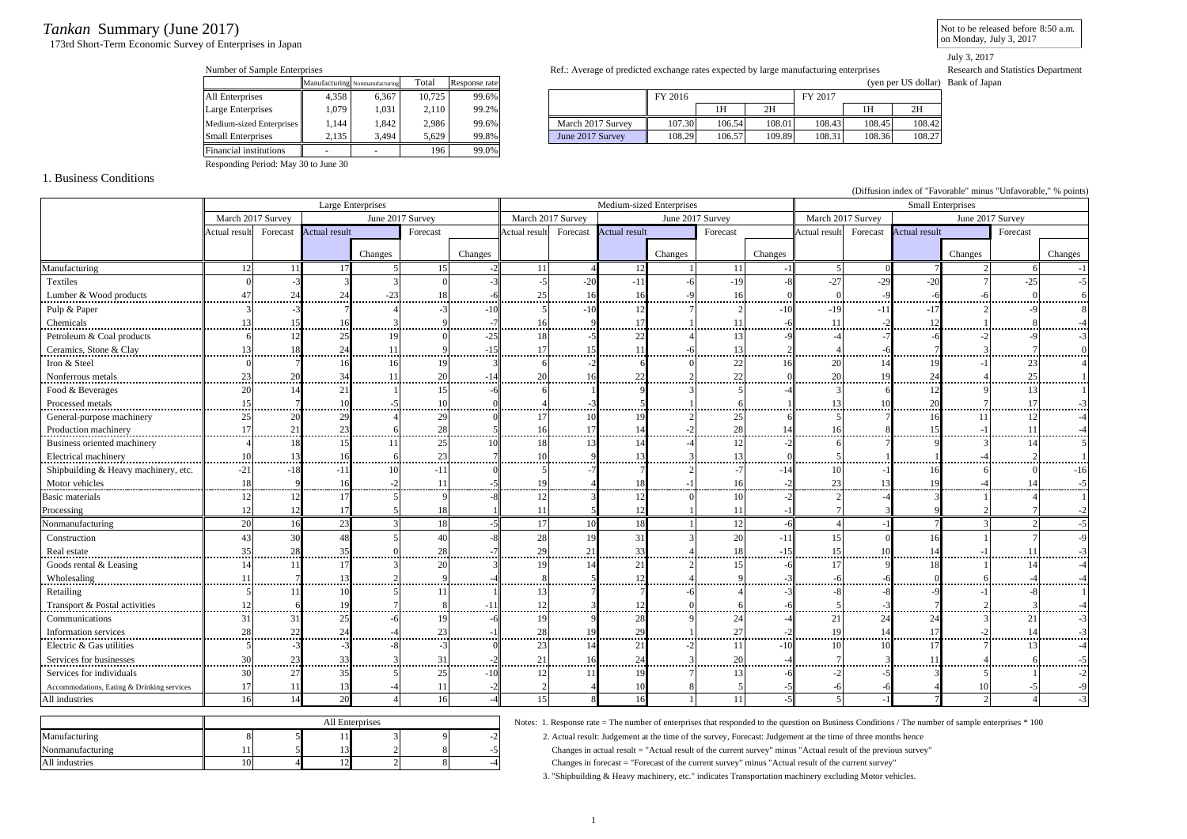# *Tankan* Summary (June 2017)

173rd Short-Term Economic Survey of Enterprises in Japan

Not to be released before 8:50 a.m.on Monday, July 3, 2017

July 3, 2017

| Number of Sample Enterprises |       |                                |        |               | Ref.: Average of predicted exchange rates expected by large manufacturing enterprises |         |        |        |         |        |                                   |
|------------------------------|-------|--------------------------------|--------|---------------|---------------------------------------------------------------------------------------|---------|--------|--------|---------|--------|-----------------------------------|
|                              |       | Manufacturing Nonmanufacturing | Total  | Response rate |                                                                                       |         |        |        |         |        | (yen per US dollar) Bank of Japan |
| All Enterprises              | 4.358 | 6.367                          | 10.725 | 99.6%         |                                                                                       | FY 2016 |        |        | FY 2017 |        |                                   |
| Large Enterprises            | 1.079 | 1.031                          | 2.110  | 99.2%         |                                                                                       |         | 1H     | 2H     |         | 1H     | 2H                                |
| Medium-sized Enterprises     | l.144 | 1.842                          | 2.986  | 99.6%         | March 2017 Survey                                                                     | 107.30  | 106.54 | 108.01 | 108.43  | 108.45 | 108.42                            |
| <b>Small Enterprises</b>     | 2,135 | 3.494                          | 5,629  | 99.8%         | June 2017 Survey                                                                      | 108.29  | 106.57 | 109.89 | 108.31  | 108.36 | 108.27                            |
| Financial institutions       |       |                                | 196    | 99.0%         |                                                                                       |         |        |        |         |        |                                   |

|                          |       |       | ------- | .     |                   |         |        |        |         |        |        |
|--------------------------|-------|-------|---------|-------|-------------------|---------|--------|--------|---------|--------|--------|
| All Enterprises          | 4.358 | 6.367 | 10.725  | 99.6% |                   | FY 2016 |        |        | FY 2017 |        |        |
| Large Enterprises        | .079  | 1.031 | 2.110   | 99.2% |                   |         | 1Н     | 2H     |         | 1T     | 2H     |
| Medium-sized Enterprises | .144  | .842  | 2.986   | 99.6% | March 2017 Survey | 107.30  | 106.54 | 108.01 | 108.43  | 108.45 | 108.42 |
| <b>Small Enterprises</b> | 2.135 | ۔494  | 5.629   | 99.8% | June 2017 Survey  | 108.29  | 106.57 | 109.89 | 108.31  | 108.36 | 108.27 |
|                          |       |       |         |       |                   |         |        |        |         |        |        |

Responding Period: May 30 to June 30

### 1. Business Conditions

(Diffusion index of "Favorable" minus "Unfavorable," % points) Large Enterprises Medium-sized Enterprises Small Enterprises March 2017 Survey | June 2017 Survey | March 2017 Survey | June 2017 Survey | March 2017 Survey | June 2017 Survey Actual result Forecast Actual result Forecast Actual result Forecast Actual result Forecast Actual result Forecast Actual result Forecast Changes Changes Changes Changes Changes Changes Changes Changes Changes Changes Changes Changes Manufacturing 12 12 11 17 5 15 -2 11 4 12 1 11 -1 5 0 7 2 6 -1 Textiles 0 -3 3 3 0 -3 -5 -20 -11 -6 -19 -8 -27 -29 -20 7 -25 -5 Lumber & Wood products 47 24 24 -23 18 -6 25 16 16 -9 16 0 0 -9 -6 -6 0 6 Pulp & Paper 7 -3 -3 -3 7 4 -3 -10 5 -10 12 7 2 -10 -11 -17 2 -9 8 Chemicals 13 15 16 3 9 -7 16 9 17 1 11 -6 11 -2 12 1 8 -4 Petroleum & Coal products 6 12 25 19 0 -25 18 -5 22 4 13 -9 -4 -7 -6 -2 -9 -3 Ceramics, Stone & Clay 13 13 18 24 11 9 -15 17 15 11 -6 13 2 4 -6 7 3 7 0 Iron & Steel 0 7 16 16 19 3 6 -2 6 0 22 16 20 14 19 -1 23 4 Nonferrous metals 23 20 34 11 20 -14 20 16 22 2 22 0 20 19 24 4 25 1Food & Beverages 1 20 14 21 1 15 -6 6 1 9 3 5 -4 3 6 12 9 13 1 Processed metals 15  $\frac{15}{2}$   $\frac{15}{2}$   $\frac{7}{2}$   $\frac{10}{2}$   $\frac{5}{2}$   $\frac{10}{2}$   $\frac{5}{2}$   $\frac{10}{2}$ 3 5 1 6 1 13 10 20 7 17 3 General-purpose machinery 25 20 29 4 29 0 17 10 19 2 25 6 5 7 16 11 12 -4 Production machinery 17 21 23 6 28 5 16 17 14 -2 28 14 16 8 15 -1 11 -4 Business oriented machinery 4 18 15 11 25 10 18 13 14 -4 12 -2 6 7 9 3 14 5 Electrical machinery 10 13 16 6 23 7 10 9 13 3 13 0 5 1 1 -4 2 1  $\frac{1}{2}$   $\frac{1}{2}$   $\frac{1}{2}$   $\frac{1}{2}$   $\frac{1}{2}$   $\frac{1}{2}$   $\frac{1}{2}$   $\frac{1}{2}$   $\frac{1}{2}$   $\frac{1}{2}$   $\frac{1}{2}$   $\frac{1}{2}$   $\frac{1}{2}$   $\frac{1}{2}$   $\frac{1}{2}$   $\frac{1}{2}$   $\frac{1}{2}$   $\frac{1}{2}$   $\frac{1}{2}$   $\frac{1}{2}$   $\frac{1}{2}$   $\frac{1}{2}$  14 14 15 16 -2 16 -2 16 -2 16 -2 16 -2 16 -2 16 -2 16 -2 16 -2 16 -2 16 -2 16 -2 16 -2 23 13 19 -4 14 -5 Basic materials - || 12 12 17|| 5|| 9|| -8|| 12|| 3|| 12|| 0|| 10|| -2|| 2|| -4|| -1| 4 3 1 4 1 Processing 12 12 12 17 5 18 1 11 5 12 1 11 11 -1 7 3 9 2 7 -2 Nonmanufacturing || 20 20 16 23 3 3 18 -5 17 10 18 1 12 -6 -6 -4 -1 7 -3 2 -5 Construction 1 43 30 48 5 40 -8 28 19 31 31 20 -11 15 0 16 11 7 -9 Real estate 35 28 35 0 28 -7 29 21 33 4 18 -15 15 10 14 -1 11 -3. . . . . Goods rental & Leasing 14 14 11 17 3 20 3 19 14 21 2 15 -6 17 9 18 1 14 -4 4 11 11 7 13 2 9 4 8 5 12 4 9 -3 -6 6 0 6 -4 -4 Retailing 5 11 10 5 11 1 13 7 7 -6 4 -3 -8 -8 -9 -1 -8 1 Transport & Postal activities 12 6 19 7 8 -11 12 3 12 0 6 -6 5 -3 7 2 3 -4 Communications || 31 31 25 -6 19 -6 19 9 28 9 24 -4 21 24 24 31 21 -3 Information services 28 22 24 -4 23 -1 28 19 29 1 27 -2 19 14 17 -2 14 -3 Electric & Gas utilities 5 -3 -3 -8 -3 0 23 14 21 -2 11 -10 10 10 17 7 13 -4Services for businesses - || 30| 23| 33| 31| 31| -2|| 21| 16| 24| 3| 20| -4| 7| 3| 11| 4| 6| -5 Services for individuals 30 27 35 5 25 -10 12 11 19 7 13 -6 -2 -5 3 5 1 -24 - Accommodations, Eating & Drinking services || 17 || 11 || 13 || -4 || 11 || -2 || -2 || 4 || 10 || -1 || -All industries 16 14 20 4 16 -4 15 8 16 1 11 -5 5 -1 7 2 4 -3

|                  |     |               | All Enterprises |  |
|------------------|-----|---------------|-----------------|--|
| Manufacturing    |     |               |                 |  |
| Nonmanufacturing |     | $\sim$        |                 |  |
| All industries   | LU. | $\sim$<br>1 L |                 |  |

Notes: 1. Response rate = The number of enterprises that responded to the question on Business Conditions / The number of sample enterprises \* 100

2. Actual result: Judgement at the time of the survey, Forecast: Judgement at the time of three months hence

Changes in actual result = "Actual result of the current survey" minus "Actual result of the previous survey"

Changes in forecast = "Forecast of the current survey" minus "Actual result of the current survey"

3. "Shipbuilding & Heavy machinery, etc." indicates Transportation machinery excluding Motor vehicles.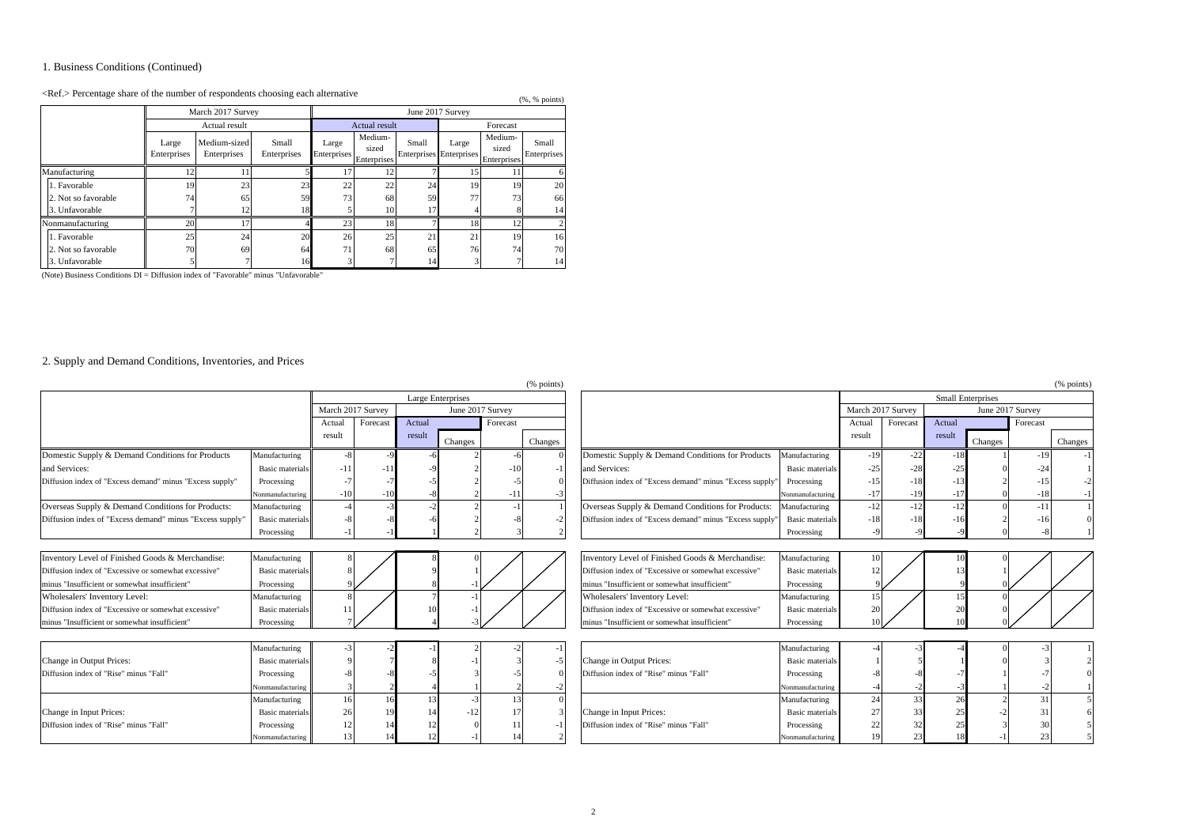## 1. Business Conditions (Continued)

## $\langle \text{Ref.} \rangle$  Percentage share of the number of respondents choosing each alternative (%, % points)

|                                                       |                      |                             |                      |                      |                                 |                                         | (1, 0, 1, 0, 0)  |                                 |                      |
|-------------------------------------------------------|----------------------|-----------------------------|----------------------|----------------------|---------------------------------|-----------------------------------------|------------------|---------------------------------|----------------------|
|                                                       |                      | March 2017 Survey           |                      |                      |                                 |                                         | June 2017 Survey |                                 |                      |
|                                                       |                      | Actual result               |                      |                      | <b>Actual result</b>            |                                         |                  | Forecast                        |                      |
| 1. Favorable<br>2. Not so favorable<br>3. Unfavorable | Large<br>Enterprises | Medium-sized<br>Enterprises | Small<br>Enterprises | Large<br>Enterprises | Medium-<br>sized<br>Enterprises | Small<br><b>Enterprises</b> Enterprises | Large            | Medium-<br>sized<br>Enterprises | Small<br>Enterprises |
| Manufacturing                                         | 12                   |                             |                      | 17                   | 12                              |                                         | 15               | 11                              | n                    |
|                                                       | 19                   | 23                          | 23                   | 22                   | 22                              | 24                                      | 19               | 19                              | 20                   |
|                                                       | 74                   | 65                          | 59                   | 73                   | 68                              | 59                                      | 77               | 73                              | 66                   |
|                                                       |                      | 12                          | 18                   |                      | 10                              | 17                                      |                  |                                 | 14                   |
| Nonmanufacturing                                      | 20                   | 17                          |                      | 23                   | 18                              |                                         | 18               | 12                              |                      |
| 1. Favorable                                          | 25                   | 24                          | 20                   | 26                   | 25                              | 21                                      | 21               | 19                              | 16                   |
| 2. Not so favorable                                   | 70                   | 69                          | 64                   | 71                   | 68                              | 65                                      | 76               | 74                              | 70                   |
| 3. Unfavorable                                        |                      |                             | 16                   |                      |                                 | 14                                      |                  |                                 | 14                   |

(Note) Business Conditions DI = Diffusion index of "Favorable" minus "Unfavorable"

### 2. Supply and Demand Conditions, Inventories, and Prices

|                                                          |                        |                   |          |        |                   |          | (% points) |                                                         |                        |                   |          |        |                          |          | (% points) |
|----------------------------------------------------------|------------------------|-------------------|----------|--------|-------------------|----------|------------|---------------------------------------------------------|------------------------|-------------------|----------|--------|--------------------------|----------|------------|
|                                                          |                        |                   |          |        | Large Enterprises |          |            |                                                         |                        |                   |          |        | <b>Small Enterprises</b> |          |            |
|                                                          |                        | March 2017 Survey |          |        | June 2017 Survey  |          |            |                                                         |                        | March 2017 Survey |          |        | June 2017 Survey         |          |            |
|                                                          |                        | Actual            | Forecast | Actual |                   | Forecast |            |                                                         |                        | Actual            | Forecast | Actual |                          | Forecast |            |
|                                                          |                        | result            |          | result | Changes           |          | Changes    |                                                         |                        | result            |          | result | Changes                  |          | Changes    |
| Domestic Supply & Demand Conditions for Products         | Manufacturing          |                   |          |        |                   |          |            | Domestic Supply & Demand Conditions for Products        | Manufacturing          | $-19$             | $-22$    |        |                          | $-19$    | $-1$       |
| and Services:                                            | Basic materials        | -11               | -11      |        |                   | - 11     |            | and Services:                                           | <b>Basic</b> materials | $-25$             | $-28$    |        |                          | $-24$    |            |
| Diffusion index of "Excess demand" minus "Excess supply" | Processing             |                   |          |        |                   |          |            | Diffusion index of "Excess demand" minus "Excess supply | Processing             | $-15$             | -18      |        |                          |          | $-2$       |
|                                                          | Nonmanufacturing       | -11               | -11      |        |                   | -1       |            |                                                         | Nonmanufacturing       | $-17$             | $-19$    |        |                          | $-18$    |            |
| Overseas Supply & Demand Conditions for Products:        | Manufacturing          |                   |          |        |                   |          |            | Overseas Supply & Demand Conditions for Products:       | Manufacturing          | $-12$             | $-12$    |        |                          | $-11$    |            |
| Diffusion index of "Excess demand" minus "Excess supply" | <b>Basic</b> materials |                   |          |        |                   |          |            | Diffusion index of "Excess demand" minus "Excess supply | <b>Basic</b> materials | $-18$             | $-18$    |        |                          |          |            |
|                                                          | Processing             |                   |          |        |                   |          |            |                                                         | Processing             |                   |          |        |                          |          |            |
|                                                          |                        |                   |          |        |                   |          |            |                                                         |                        |                   |          |        |                          |          |            |
| Inventory Level of Finished Goods & Merchandise:         | Manufacturing          |                   |          |        |                   |          |            | Inventory Level of Finished Goods & Merchandise:        | Manufacturing          |                   |          |        |                          |          |            |
| Diffusion index of "Excessive or somewhat excessive"     | <b>Basic</b> materials |                   |          |        |                   |          |            | Diffusion index of "Excessive or somewhat excessive"    | Basic materials        |                   |          |        |                          |          |            |
| minus "Insufficient or somewhat insufficient"            | Processing             |                   |          |        |                   |          |            | minus "Insufficient or somewhat insufficient"           | Processing             |                   |          |        |                          |          |            |
| Wholesalers' Inventory Level:                            | Manufacturing          |                   |          |        |                   |          |            | Wholesalers' Inventory Level:                           | Manufacturing          | 15                |          |        |                          |          |            |
| Diffusion index of "Excessive or somewhat excessive"     | Basic materials        |                   |          |        |                   |          |            | Diffusion index of "Excessive or somewhat excessive"    | <b>Basic</b> materials | 20                |          |        |                          |          |            |
| minus "Insufficient or somewhat insufficient"            | Processing             |                   |          |        |                   |          |            | minus "Insufficient or somewhat insufficient"           | Processing             |                   |          |        |                          |          |            |
|                                                          |                        |                   |          |        |                   |          |            |                                                         |                        |                   |          |        |                          |          |            |
|                                                          | Manufacturing          |                   |          |        |                   |          |            |                                                         | Manufacturing          |                   |          |        |                          |          |            |
| Change in Output Prices:                                 | <b>Basic</b> materials |                   |          |        |                   |          |            | Change in Output Prices:                                | <b>Basic</b> materials |                   |          |        |                          |          |            |
| Diffusion index of "Rise" minus "Fall"                   | Processing             |                   |          |        |                   |          |            | Diffusion index of "Rise" minus "Fall"                  | Processing             |                   |          |        |                          |          |            |
|                                                          | Nonmanufacturing       |                   |          |        |                   |          |            |                                                         | Nonmanufacturing       |                   |          |        |                          |          |            |
|                                                          | Manufacturing          |                   |          |        |                   |          |            |                                                         | Manufacturing          | 24                | 33       |        |                          | 31       |            |
| Change in Input Prices:                                  | Basic materials        | 26                |          |        | -12               |          |            | Change in Input Prices:                                 | <b>Basic</b> materials | 27                | 33       |        |                          | 31       |            |
| Diffusion index of "Rise" minus "Fall'                   | Processing             |                   |          |        |                   |          |            | Diffusion index of "Rise" minus "Fall"                  | Processing             |                   |          |        |                          |          |            |
|                                                          | Nonmanufacturing       |                   |          |        |                   |          |            |                                                         | Nonmanufacturing       |                   |          |        |                          |          |            |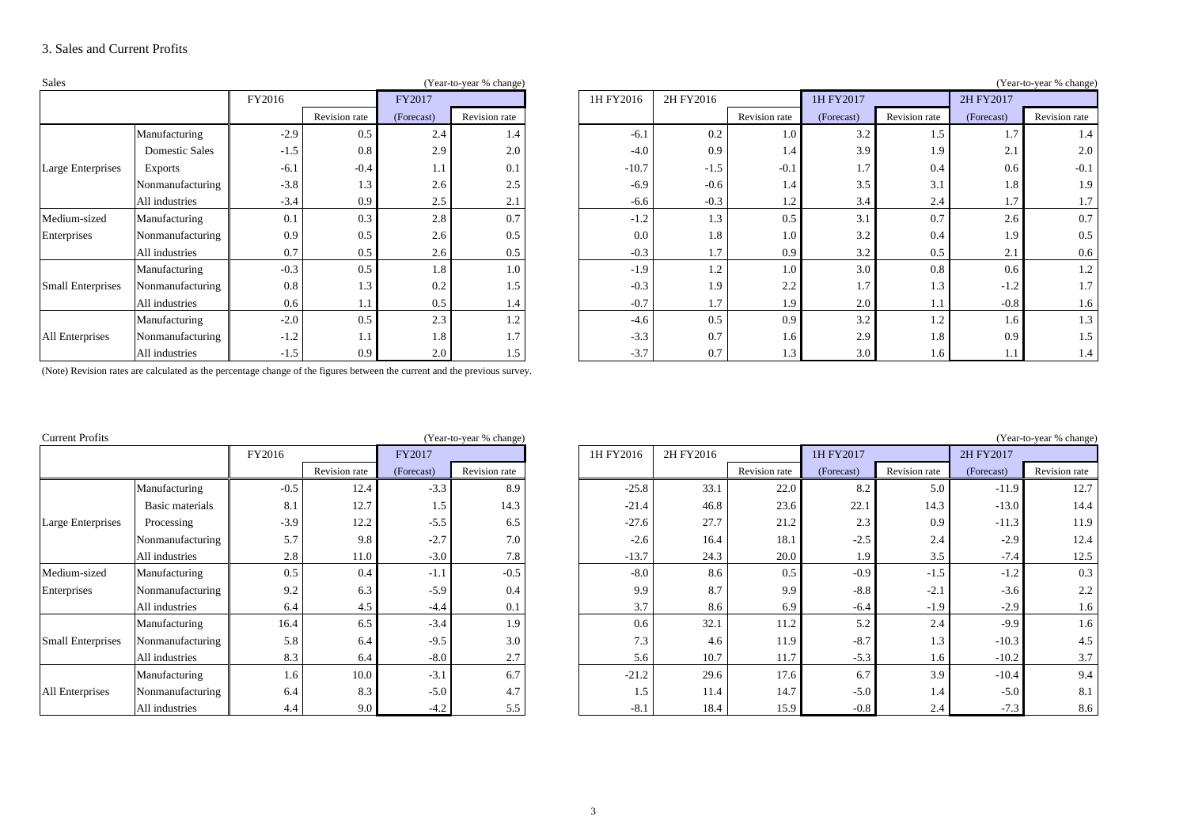### 3. Sales and Current Profits

| Sales                    |                       |        |               |            | (Year-to-year % change) |           |           |               |            |               |                                                                                               | (Year-to-year % change) |
|--------------------------|-----------------------|--------|---------------|------------|-------------------------|-----------|-----------|---------------|------------|---------------|-----------------------------------------------------------------------------------------------|-------------------------|
|                          |                       | FY2016 |               | FY2017     |                         | 1H FY2016 | 2H FY2016 |               | 1H FY2017  |               | 2H FY2017                                                                                     |                         |
|                          |                       |        | Revision rate | (Forecast) | Revision rate           |           |           | Revision rate | (Forecast) | Revision rate | (Forecast)                                                                                    | Revision rate           |
|                          | Manufacturing         | $-2.9$ | 0.5           | 2.4        | 1.4                     | $-6.1$    | 0.2       | 1.0           | 3.2        | 1.5           | 1.7                                                                                           | 1.4                     |
|                          | <b>Domestic Sales</b> | $-1.5$ | 0.8           | 2.9        | 2.0                     | $-4.0$    | 0.9       | 1.4           | 3.9        | 1.9           | 2.1                                                                                           | 2.0                     |
| Large Enterprises        | <b>Exports</b>        | $-6.1$ | $-0.4$        | 1.1        | 0.1                     | $-10.7$   | $-1.5$    | $-0.1$        | 1.7        | 0.4           | 0.6                                                                                           | $-0.1$                  |
|                          | Nonmanufacturing      | $-3.8$ | 1.3           | 2.6        | 2.5                     | $-6.9$    | $-0.6$    | 1.4           | 3.5        | 3.1           | 1.8                                                                                           | 1.9                     |
|                          | All industries        | $-3.4$ | 0.9           | 2.5        | 2.1                     | $-6.6$    | $-0.3$    | 1.2           | 3.4        | 2.4           | $\overline{\phantom{a}}$<br>1.1<br>2.6<br>1.9<br>2.1<br>0.6<br>$-1.2$<br>$-0.8$<br>1.6<br>0.9 | 1.7                     |
| Medium-sized             | Manufacturing         | 0.1    | 0.3           | 2.8        | 0.7                     | $-1.2$    | 1.3       | 0.5           | 3.1        | 0.7           |                                                                                               | 0.7                     |
| Enterprises              | Nonmanufacturing      | 0.9    | 0.5           | 2.6        | 0.5                     | 0.0       | 1.8       | 1.0           | 3.2        | 0.4           |                                                                                               | 0.5                     |
|                          | All industries        | 0.7    | 0.5           | 2.6        | 0.5                     | $-0.3$    | 1.7       | 0.9           | 3.2        | 0.5           |                                                                                               | 0.6                     |
|                          | Manufacturing         | $-0.3$ | 0.5           | 1.8        | 1.0                     | $-1.9$    | 1.2       | 1.0           | 3.0        | 0.8           |                                                                                               | 1.2                     |
| <b>Small Enterprises</b> | Nonmanufacturing      | 0.8    | 1.3           | 0.2        | 1.5                     | $-0.3$    | 1.9       | 2.2           | 1.7        | 1.3           |                                                                                               | 1.7                     |
|                          | All industries        | 0.6    | 1. .          | 0.5        | 1.4                     | $-0.7$    | 1.7       | 1.9           | 2.0        | 1.1           |                                                                                               | 1.6                     |
|                          | Manufacturing         | $-2.0$ | 0.5           | 2.3        | 1.2                     | $-4.6$    | 0.5       | 0.9           | 3.2        | 1.2           |                                                                                               | 1.3                     |
| All Enterprises          | Nonmanufacturing      | $-1.2$ | $1.1\,$       | 1.8        | $\overline{ }$          | $-3.3$    | 0.7       | 1.6           | 2.9        | 1.8           |                                                                                               | 1.5                     |
|                          | All industries        | $-1.5$ | 0.9           | 2.0        | 1.5                     | $-3.7$    | 0.7       | 1.3           | 3.0        | 1.6           |                                                                                               | 1.4                     |

|                          |                       | FY2016 |               | FY2017     |               | 1H FY2016 | 2H FY2016 |               | 1H FY2017  |               | 2H FY2017  |               |
|--------------------------|-----------------------|--------|---------------|------------|---------------|-----------|-----------|---------------|------------|---------------|------------|---------------|
|                          |                       |        | Revision rate | (Forecast) | Revision rate |           |           | Revision rate | (Forecast) | Revision rate | (Forecast) | Revision rate |
|                          | Manufacturing         | $-2.9$ | 0.5           | 2.4        | 1.4           | $-6.1$    | 0.2       | 1.0           | 3.2        | 1.5           | 1.7        | 1.4           |
|                          | <b>Domestic Sales</b> | $-1.5$ | 0.8           | 2.9        | 2.0           | $-4.0$    | 0.9       | 1.4           | 3.9        | 1.9           | 2.1        | 2.0           |
| Large Enterprises        | <b>Exports</b>        | $-6.1$ | $-0.4$        | 1.1        | 0.1           | $-10.7$   | $-1.5$    | $-0.1$        | 1.7        | 0.4           | 0.6        | $-0.1$        |
|                          | Nonmanufacturing      | $-3.8$ | 1.3           | 2.6        | 2.5           | $-6.9$    | $-0.6$    | 1.4           | 3.5        | 3.1           | 1.8        | 1.9           |
|                          | All industries        | $-3.4$ | 0.9           | 2.5        | 2.1           | $-6.6$    | $-0.3$    | 1.4           | 3.4        | 2.4           | 1.7        | 1.7           |
| Medium-sized             | Manufacturing         | 0.1    | 0.3           | 2.8        | 0.7           | $-1.2$    | 1.3       | 0.5           | 3.1        | 0.7           | 2.6        | 0.7           |
| Enterprises              | Nonmanufacturing      | 0.9    | 0.5           | 2.6        | 0.5           | 0.0       | 1.8       | $1.0\,$       | 3.2        | 0.4           | 1.9        | 0.5           |
|                          | All industries        | 0.7    | 0.5           | 2.6        | 0.5           | $-0.3$    |           | 0.9           | 3.2        | 0.5           | 2.1        | 0.6           |
|                          | Manufacturing         | $-0.3$ | 0.5           | $1.8 -$    | 1.0           | $-1.9$    | 1.4       | 1.0           | 3.0        | 0.8           | 0.6        | 1.2           |
| <b>Small Enterprises</b> | Nonmanufacturing      | 0.8    | 1.3           | 0.2        | 1.5           | $-0.3$    | 1.9       | 2.2           | 1.7        | 1.3           | $-1.2$     | 1.7           |
|                          | All industries        | 0.6    | 1.1           | 0.5        | 1.4           | $-0.7$    |           | 1.9           | 2.0        |               | $-0.8$     | 1.6           |
|                          | Manufacturing         | $-2.0$ | 0.5           | 2.3        | 1.2           | $-4.6$    | 0.5       | 0.9           | 3.2        | 1.2           | 1.6        | 1.3           |
| All Enterprises          | Nonmanufacturing      | $-1.2$ | 1.1           | 1.8        | 1.7           | $-3.3$    | 0.7       | $1.6^{\circ}$ | 2.9        | 1.8           | 0.9        | 1.5           |
|                          | All industries        | $-1.5$ | 0.9           | 2.0        | 1.5           | $-3.7$    | 0.7       | 1.3           | 3.0        | 1.6           | 1.1        | 1.4           |

(Note) Revision rates are calculated as the percentage change of the figures between the current and the previous survey.

| <b>Current Profits</b>   |                  |        |               |            | (Year-to-year % change) |           |           |               |            |               |                                        | (Year-to-year % change) |
|--------------------------|------------------|--------|---------------|------------|-------------------------|-----------|-----------|---------------|------------|---------------|----------------------------------------|-------------------------|
|                          |                  | FY2016 |               | FY2017     |                         | 1H FY2016 | 2H FY2016 |               | 1H FY2017  |               | 2H FY2017                              |                         |
|                          |                  |        | Revision rate | (Forecast) | Revision rate           |           |           | Revision rate | (Forecast) | Revision rate | (Forecast)                             | Revision rate           |
|                          | Manufacturing    | $-0.5$ | 12.4          | $-3.3$     | 8.9                     | $-25.8$   | 33.1      | 22.0          | 8.2        | 5.0           | $-11.9$                                | 12.7                    |
|                          | Basic materials  | 8.1    | 12.7          | 1.5        | 14.3                    | $-21.4$   | 46.8      | 23.6          | 22.1       | 14.3          | $-13.0$                                | 14.4                    |
| Large Enterprises        | Processing       | $-3.9$ | 12.2          | $-5.5$     | 6.5                     | $-27.6$   | 27.7      | 21.2          | 2.3        | 0.9           | $-11.3$                                | 11.9                    |
|                          | Nonmanufacturing | 5.7    | 9.8           | $-2.7$     | 7.0                     | $-2.6$    | 16.4      | 18.1          | $-2.5$     | 2.4           | $-2.9$                                 | 12.4                    |
|                          | All industries   | 2.8    | 11.0          | $-3.0$     | 7.8                     | $-13.7$   | 24.3      | 20.0          | 1.9        | 3.5           | $-7.4$                                 | 12.5                    |
| Medium-sized             | Manufacturing    | 0.5    | 0.4           | $-1.1$     | $-0.5$                  | $-8.0$    | 8.6       | 0.5           | $-0.9$     | $-1.5$        | $-1.2$                                 | 0.3                     |
| Enterprises              | Nonmanufacturing | 9.2    | 6.3           | $-5.9$     | 0.4                     | 9.9       | 8.7       | 9.9           | $-8.8$     | $-2.1$        | $-3.6$                                 | 2.2                     |
|                          | All industries   | 6.4    | 4.5           | $-4.4$     | 0.1                     | 3.7       | 8.6       | 6.9           | $-6.4$     | $-1.9$        | $-2.9$                                 | 1.6                     |
|                          | Manufacturing    | 16.4   | 6.5           | $-3.4$     | 1.9                     | 0.6       | 32.1      | 11.2          | 5.2        | 2.4           | $-9.9$                                 | 1.6                     |
| <b>Small Enterprises</b> | Nonmanufacturing | 5.8    | 6.4           | $-9.5$     | 3.0                     | 7.3       | 4.6       | 11.9          | $-8.7$     | 1.3           | $-10.3$                                | 4.5                     |
|                          | All industries   | 8.3    | 6.4           | $-8.0$     | 2.7                     | 5.6       | 10.7      | 11.7          | $-5.3$     |               | $-10.2$<br>$-10.4$<br>$-5.0$<br>$-7.3$ | 3.7                     |
|                          | Manufacturing    | 1.6    | 10.0          | $-3.1$     | 6.7                     | $-21.2$   | 29.6      | 17.6          | 6.7        | 3.9           |                                        | 9.4                     |
| All Enterprises          | Nonmanufacturing | 6.4    | 8.3           | $-5.0$     | 4.7                     | 1.5       | 11.4      | 14.7          | $-5.0$     | 1.4           |                                        | 8.1                     |
|                          | All industries   | 4.4    | 9.0           | $-4.2$     | 5.5                     | $-8.1$    | 18.4      | 15.9          | $-0.8$     | 2.4           | 1.6                                    | 8.6                     |

|                          |                  | FY2016 |               | FY2017     |               | 1H FY2016 | 2H FY2016 |               | 1H FY2017  |               | 2H FY2017  |               |
|--------------------------|------------------|--------|---------------|------------|---------------|-----------|-----------|---------------|------------|---------------|------------|---------------|
|                          |                  |        | Revision rate | (Forecast) | Revision rate |           |           | Revision rate | (Forecast) | Revision rate | (Forecast) | Revision rate |
|                          | Manufacturing    | $-0.5$ | 12.4          | $-3.3$     | 8.9           | $-25.8$   | 33.1      | 22.0          | 8.2        | 5.0           | $-11.9$    | 12.7          |
|                          | Basic materials  | 8.1    | 12.7          | 1.5        | 14.3          | $-21.4$   | 46.8      | 23.6          | 22.1       | 14.3          | $-13.0$    | 14.4          |
| Large Enterprises        | Processing       | $-3.9$ | 12.2          | $-5.5$     | 6.5           | $-27.6$   | 27.7      | 21.2          | 2.3        | 0.9           | $-11.3$    | 11.9          |
|                          | Nonmanufacturing | 5.7    | 9.8           | $-2.7$     | 7.0           | $-2.6$    | 16.4      | 18.1          | $-2.5$     | 2.4           | $-2.9$     | 12.4          |
|                          | All industries   | 2.8    | 11.0          | $-3.0$     | 7.8           | $-13.7$   | 24.3      | 20.0          | 1.9        | 3.5           | $-7.4$     | 12.5          |
| Medium-sized             | Manufacturing    | 0.5    | 0.4           | $-1.1$     | $-0.5$        | $-8.0$    | 8.6       | 0.5           | $-0.9$     | $-1.5$        | $-1.2$     | 0.3           |
| Enterprises              | Nonmanufacturing | 9.2    | 6.3           | $-5.9$     | 0.4           | 9.9       | 8.7       | 9.9           | $-8.8$     | $-2.1$        | $-3.6$     | 2.2           |
|                          | All industries   | 6.4    | 4.5           | $-4.4$     | 0.1           | 3.7       | 8.6       | 6.9           | $-6.4$     | $-1.9$        | $-2.9$     | 1.6           |
|                          | Manufacturing    | 16.4   | 6.5           | $-3.4$     | 1.9           | 0.6       | 32.1      | 11.2          | 5.2        | 2.4           | $-9.9$     | 1.6           |
| <b>Small Enterprises</b> | Nonmanufacturing | 5.8    | 6.4           | $-9.5$     | 3.0           | 7.3       | 4.6       | 11.9          | $-8.7$     | 1.3           | $-10.3$    | 4.5           |
|                          | All industries   | 8.3    | 6.4           | $-8.0$     | 2.7           | 5.6       | 10.7      | 11.7          | $-5.3$     | 1.6           | $-10.2$    | 3.7           |
|                          | Manufacturing    | 1.6    | 10.0          | $-3.1$     | 6.7           | $-21.2$   | 29.6      | 17.6          | 6.7        | 3.9           | $-10.4$    | 9.4           |
| All Enterprises          | Nonmanufacturing | 6.4    | 8.3           | $-5.0$     | 4.7           | 1.5       | 11.4      | 14.7          | $-5.0$     | 1.4           | $-5.0$     | 8.1           |
|                          | All industries   | 4.4    | 9.0           | $-4.2$     | 5.5           | $-8.1$    | 18.4      | 15.9          | $-0.8$     | 2.4           | $-7.3$     | 8.6           |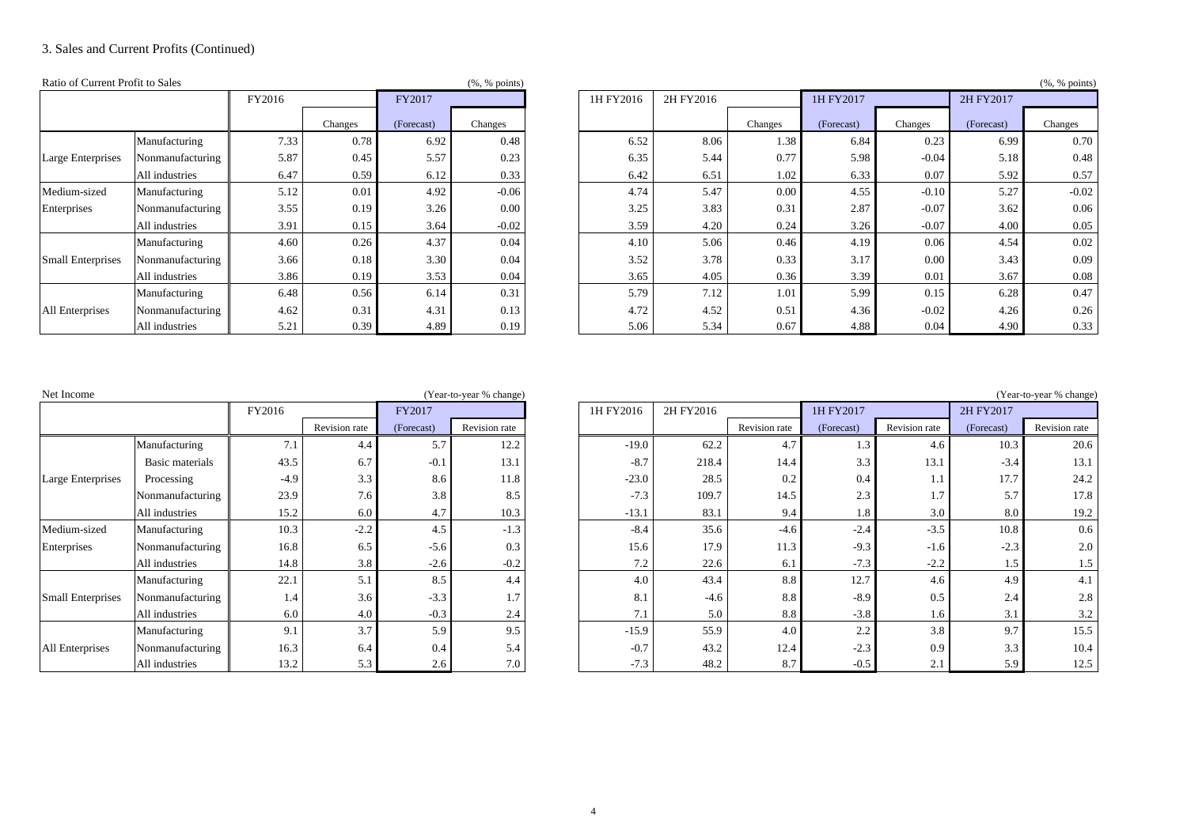## 3. Sales and Current Profits (Continued)

| Ratio of Current Profit to Sales |                  |        |         |            | $(\%$ , % points) |           |           |         | (%, % points) |         |            |         |  |  |  |
|----------------------------------|------------------|--------|---------|------------|-------------------|-----------|-----------|---------|---------------|---------|------------|---------|--|--|--|
|                                  |                  | FY2016 |         | FY2017     |                   | 1H FY2016 | 2H FY2016 |         | 1H FY2017     |         | 2H FY2017  |         |  |  |  |
|                                  |                  |        | Changes | (Forecast) | Changes           |           |           | Changes | (Forecast)    | Changes | (Forecast) | Changes |  |  |  |
|                                  | Manufacturing    | 7.33   | 0.78    | 6.92       | 0.48              | 6.52      | 8.06      | 1.38    | 6.84          | 0.23    | 6.99       | 0.70    |  |  |  |
| Large Enterprises                | Nonmanufacturing | 5.87   | 0.45    | 5.57       | 0.23              | 6.35      | 5.44      | 0.77    | 5.98          | $-0.04$ | 5.18       | 0.48    |  |  |  |
| Medium-sized                     | All industries   | 6.47   | 0.59    | 6.12       | 0.33              | 6.42      | 6.51      | 1.02    | 6.33          | 0.07    | 5.92       | 0.57    |  |  |  |
|                                  | Manufacturing    | 5.12   | 0.01    | 4.92       | $-0.06$           | 4.74      | 5.47      | 0.00    | 4.55          | $-0.10$ | 5.27       | $-0.02$ |  |  |  |
| Enterprises                      | Nonmanufacturing | 3.55   | 0.19    | 3.26       | 0.00              | 3.25      | 3.83      | 0.31    | 2.87          | $-0.07$ | 3.62       | 0.06    |  |  |  |
|                                  | All industries   | 3.91   | 0.15    | 3.64       | $-0.02$           | 3.59      | 4.20      | 0.24    | 3.26          | $-0.07$ | 4.00       | 0.05    |  |  |  |
|                                  | Manufacturing    | 4.60   | 0.26    | 4.37       | 0.04              | 4.10      | 5.06      | 0.46    | 4.19          | 0.06    | 4.54       | 0.02    |  |  |  |
| <b>Small Enterprises</b>         | Nonmanufacturing | 3.66   | 0.18    | 3.30       | 0.04              | 3.52      | 3.78      | 0.33    | 3.17          | 0.00    | 3.43       | 0.09    |  |  |  |
|                                  | All industries   | 3.86   | 0.19    | 3.53       | 0.04              | 3.65      | 4.05      | 0.36    | 3.39          | 0.01    | 3.67       | 0.08    |  |  |  |
|                                  | Manufacturing    | 6.48   | 0.56    | 6.14       | 0.31              | 5.79      | 7.12      | 1.01    | 5.99          | 0.15    | 6.28       | 0.47    |  |  |  |
| All Enterprises                  | Nonmanufacturing | 4.62   | 0.31    | 4.31       | 0.13              | 4.72      | 4.52      | 0.51    | 4.36          | $-0.02$ | 4.26       | 0.26    |  |  |  |
|                                  | All industries   | 5.21   | 0.39    | 4.89       | 0.19              | 5.06      | 5.34      | 0.67    | 4.88          | 0.04    | 4.90       | 0.33    |  |  |  |

|                          |                  |        |         |            | . <i>.</i> <b>1</b> |           |           |         |            |         |            | . 1     |
|--------------------------|------------------|--------|---------|------------|---------------------|-----------|-----------|---------|------------|---------|------------|---------|
|                          |                  | FY2016 |         | FY2017     |                     | 1H FY2016 | 2H FY2016 |         | 1H FY2017  |         | 2H FY2017  |         |
|                          |                  |        | Changes | (Forecast) | Changes             |           |           | Changes | (Forecast) | Changes | (Forecast) | Changes |
|                          | Manufacturing    | 7.33   | 0.78    | 6.92       | 0.48                | 6.52      | 8.06      | 1.38    | 6.84       | 0.23    | 6.99       | 0.70    |
| Large Enterprises        | Nonmanufacturing | 5.87   | 0.45    | 5.57       | 0.23                | 6.35      | 5.44      | 0.77    | 5.98       | $-0.04$ | 5.18       | 0.48    |
|                          | All industries   | 6.47   | 0.59    | 6.12       | 0.33                | 6.42      | 6.51      | 1.02    | 6.33       | 0.07    | 5.92       | 0.57    |
| Medium-sized             | Manufacturing    | 5.12   | 0.01    | 4.92       | $-0.06$             | 4.74      | 5.47      | 0.00    | 4.55       | $-0.10$ | 5.27       | $-0.02$ |
| Enterprises              | Nonmanufacturing | 3.55   | 0.19    | 3.26       | 0.00                | 3.25      | 3.83      | 0.31    | 2.87       | $-0.07$ | 3.62       | 0.06    |
|                          | All industries   | 3.91   | 0.15    | 3.64       | $-0.02$             | 3.59      | 4.20      | 0.24    | 3.26       | $-0.07$ | 4.00       | 0.05    |
|                          | Manufacturing    | 4.60   | 0.26    | 4.37       | 0.04                | 4.10      | 5.06      | 0.46    | 4.19       | 0.06    | 4.54       | 0.02    |
| <b>Small Enterprises</b> | Nonmanufacturing | 3.66   | 0.18    | 3.30       | 0.04                | 3.52      | 3.78      | 0.33    | 3.17       | 0.00    | 3.43       | 0.09    |
|                          | All industries   | 3.86   | 0.19    | 3.53       | 0.04                | 3.65      | 4.05      | 0.36    | 3.39       | 0.01    | 3.67       | 0.08    |
|                          | Manufacturing    | 6.48   | 0.56    | 6.14       | 0.31                | 5.79      | 7.12      | 1.01    | 5.99       | 0.15    | 6.28       | 0.47    |
| <b>All Enterprises</b>   | Nonmanufacturing | 4.62   | 0.31    | 4.31       | 0.13                | 4.72      | 4.52      | 0.51    | 4.36       | $-0.02$ | 4.26       | 0.26    |
|                          | All industries   | 5.21   | 0.39    | 4.89       | 0.19                | 5.06      | 5.34      | 0.67    | 4.88       | 0.04    | 4.90       | 0.33    |

| Net Income               |                  |        |               |            | (Year-to-year % change) |           |           |               |            |                  |                  | (Year-to-year % change |
|--------------------------|------------------|--------|---------------|------------|-------------------------|-----------|-----------|---------------|------------|------------------|------------------|------------------------|
|                          |                  | FY2016 |               | FY2017     |                         | 1H FY2016 | 2H FY2016 |               | 1H FY2017  |                  | 2H FY2017        |                        |
|                          |                  |        | Revision rate | (Forecast) | Revision rate           |           |           | Revision rate | (Forecast) | Revision rate    | (Forecast)       | Revision rate          |
|                          | Manufacturing    | 7.1    | 4.4           | 5.7        | 12.2                    | $-19.0$   | 62.2      | 4.7           | 1.3        | 4.6              | 10.3             | 20.6                   |
|                          | Basic materials  | 43.5   | 6.7           | $-0.1$     | 13.1                    | $-8.7$    | 218.4     | 14.4          | 3.3        | 13.1             | $-3.4$           | 13.1                   |
| Large Enterprises        | Processing       | $-4.9$ | 3.3           | 8.6        | 11.8                    | $-23.0$   | 28.5      | 0.2           | 0.4        |                  | 17.7             | 24.2                   |
|                          | Nonmanufacturing | 23.9   | 7.6           | 3.8        | 8.5                     | $-7.3$    | 109.7     | 14.5          | 2.3        |                  | 5.7              | 17.8                   |
|                          | All industries   | 15.2   | 6.0           | 4.7        | 10.3                    | $-13.1$   | 83.1      | 9.4           | 1.8        | 3.0              | 8.0              | 19.2                   |
| Medium-sized             | Manufacturing    | 10.3   | $-2.2$        | 4.5        | $-1.3$                  | $-8.4$    | 35.6      | $-4.6$        | $-2.4$     | $-3.5$           | 10.8             | 0.6                    |
| Enterprises              | Nonmanufacturing | 16.8   | 6.5           | $-5.6$     | 0.3                     | 15.6      | 17.9      | 11.3          | $-9.3$     | $-1.6$           | $-2.3$           | 2.0                    |
|                          | All industries   | 14.8   | 3.8           | $-2.6$     | $-0.2$                  | 7.2       | 22.6      | 6.1           | $-7.3$     | $-2.2$           | 1.5              | 1.5                    |
|                          | Manufacturing    | 22.1   | 5.1           | 8.5        | 4.4                     | 4.0       | 43.4      | 8.8           | 12.7       | 4.6              | 4.9              | 4.1                    |
| <b>Small Enterprises</b> | Nonmanufacturing | 1.4    | 3.6           | $-3.3$     | 1.7                     | 8.1       | $-4.6$    | 8.8           | $-8.9$     | 0.5              | 2.4              | 2.8                    |
|                          | All industries   | 6.0    | 4.0           | $-0.3$     | 2.4                     | 7.1       | 5.0       | 8.8           | $-3.8$     | 1.6 <sup>1</sup> | 3.1              | 3.2                    |
|                          | Manufacturing    | 9.1    | 3.7           | 5.9        | 9.5                     | $-15.9$   | 55.9      | 4.0           | 2.2        | 3.8              | 9.7              | 15.5                   |
| All Enterprises          | Nonmanufacturing | 16.3   | 6.4           | 0.4        | 5.4                     | $-0.7$    | 43.2      | 12.4          | $-2.3$     | 0.9              | 3.3              | 10.4                   |
|                          | All industries   | 13.2   | 5.3           | 2.6        | 7.0                     | $-7.3$    | 48.2      | 8.7           | $-0.5$     | 2.1              | 5.9 <sub>1</sub> | 12.5                   |

## (Year-to-year % change) (Year-to-year % change)

12.5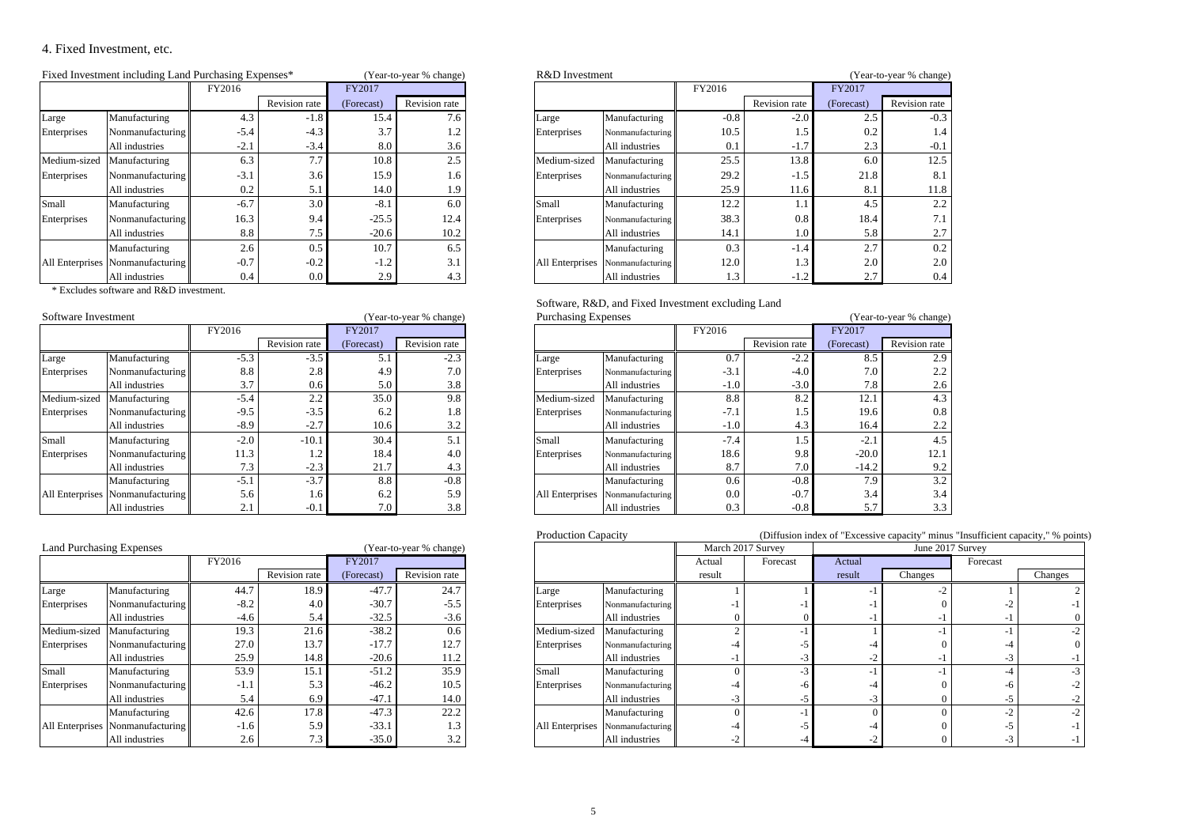# 4. Fixed Investment, etc.

|                            | Fixed Investment including Land Purchasing Expenses* |        |               |            | (Year-to-year % change) |                 | R&D Investment   |        |               | (Year-to-year % change) |               |  |  |
|----------------------------|------------------------------------------------------|--------|---------------|------------|-------------------------|-----------------|------------------|--------|---------------|-------------------------|---------------|--|--|
|                            |                                                      | FY2016 |               | FY2017     |                         |                 |                  | FY2016 |               | FY2017                  |               |  |  |
|                            |                                                      |        | Revision rate | (Forecast) | Revision rate           |                 |                  |        | Revision rate | (Forecast)              | Revision rate |  |  |
| Large                      | Manufacturing                                        | 4.3    | $-1.8$        | 15.4       | 7.6                     | Large           | Manufacturing    | $-0.8$ | $-2.0$        | 2.5                     | $-0.3$        |  |  |
| Enterprises                | Nonmanufacturing                                     | $-5.4$ | $-4.3$        | 3.7        | 1.2                     | Enterprises     | Nonmanufacturing | 10.5   | 1.5           | 0.2                     | 1.4           |  |  |
|                            | All industries                                       | $-2.1$ | $-3.4$        | 8.0        | 3.6                     |                 | All industries   | 0.1    | $-1.7$        | 2.3                     | $-0.1$        |  |  |
| Medium-sized Manufacturing |                                                      | 6.3    | 7.7           | 10.8       | 2.5                     | Medium-sized    | Manufacturing    | 25.5   | 13.8          | 6.0                     | 12.5          |  |  |
| Enterprises                | Nonmanufacturing                                     | $-3.1$ | 3.6           | 15.9       | 1.6                     | Enterprises     | Nonmanufacturing | 29.2   | $-1.5$        | 21.8                    | 8.1           |  |  |
|                            | All industries                                       | 0.2    | 5.1           | 14.0       | 1.9                     |                 | All industries   | 25.9   | 11.6          | 8.1                     | 11.8          |  |  |
| Small                      | Manufacturing                                        | $-6.7$ | 3.0           | $-8.1$     | 6.0                     | Small           | Manufacturing    | 12.2   | 1.1           | 4.5                     | 2.2           |  |  |
| Enterprises                | Nonmanufacturing                                     | 16.3   | 9.4           | $-25.5$    | 12.4                    | Enterprises     | Nonmanufacturing | 38.3   | 0.8           | 18.4                    | 7.1           |  |  |
|                            | All industries                                       | 8.8    | 7.5           | $-20.6$    | 10.2                    |                 | All industries   | 14.1   | 1.0           | 5.8                     | 2.7           |  |  |
|                            | Manufacturing                                        | 2.6    | 0.5           | 10.7       | 6.5                     |                 | Manufacturing    | 0.3    | $-1.4$        | 2.7                     | 0.2           |  |  |
|                            | All Enterprises Nonmanufacturing                     | $-0.7$ | $-0.2$        | $-1.2$     | 3.1                     | All Enterprises | Nonmanufacturing | 12.0   | 1.3           | 2.0                     | 2.0           |  |  |
|                            | All industries                                       | 0.4    | $0.0\,$       | 2.9        | 4.3                     |                 | All industries   | 1.3    | $-1.2$        | 2.7                     | 0.4           |  |  |

| ent including Land Purchasing Expenses* |        |               |            | (Year-to-year % change) | R&D Investment  |                  |        |               |            | (Year-to-year % change) |
|-----------------------------------------|--------|---------------|------------|-------------------------|-----------------|------------------|--------|---------------|------------|-------------------------|
|                                         | FY2016 |               | FY2017     |                         |                 |                  | FY2016 |               | FY2017     |                         |
|                                         |        | Revision rate | (Forecast) | Revision rate           |                 |                  |        | Revision rate | (Forecast) | <b>Revision</b> rate    |
| Manufacturing                           | 4.3    | $-1.8$        | 15.4       | 7.6                     | Large           | Manufacturing    | $-0.8$ | $-2.0$        | 2.5        | $-0.3$                  |
| Nonmanufacturing                        | $-5.4$ | $-4.3$        | 3.7        | 1.2                     | Enterprises     | Nonmanufacturing | 10.5   | 1.5           | 0.2        | 1.4                     |
| All industries                          | $-2.1$ | $-3.4$        | 8.0        | 3.6                     |                 | All industries   | 0.1    | $-1.7$        | 2.3        | $-0.1$                  |
| Manufacturing                           | 6.3    | 7.7           | 10.8       | 2.5                     | Medium-sized    | Manufacturing    | 25.5   | 13.8          | 6.0        | 12.5                    |
| Nonmanufacturing                        | $-3.1$ | 3.6           | 15.9       | 1.6                     | Enterprises     | Nonmanufacturing | 29.2   | $-1.5$        | 21.8       | 8.1                     |
| All industries                          | 0.2    | 5.1           | 14.0       | 1.9                     |                 | All industries   | 25.9   | 11.6          | 8.         | 11.8                    |
| Manufacturing                           | $-6.7$ | 3.0           | $-8.1$     | 6.0                     | Small           | Manufacturing    | 12.2   |               | 4.5        | 2.2                     |
| Nonmanufacturing                        | 16.3   | 9.4           | $-25.5$    | 12.4                    | Enterprises     | Nonmanufacturing | 38.3   | 0.8           | 18.4       | 7.1                     |
| All industries                          | 8.8    | 7.5           | $-20.6$    | 10.2                    |                 | All industries   | 14.1   | 1.0           | 5.8        | 2.7                     |
| Manufacturing                           | 2.6    | 0.5           | 10.7       | 6.5                     |                 | Manufacturing    | 0.3    | $-1.4$        | 2.7        | 0.2                     |
| Nonmanufacturing                        | $-0.7$ | $-0.2$        | $-1.2$     | 3.1                     | All Enterprises | Nonmanufacturing | 12.0   | 1.3           | 2.0        | 2.0                     |
| All industries                          | 0.4    | $0.0\,$       | 2.9        | 4.3                     |                 | All industries   | .3     | $-1.2$        | 2.7        | 0.4                     |

\* Excludes software and R&D investment.

| Software Investment |                                  |        |                 |            | (Year-to-year % change) |                 | <b>Purchasing Expenses</b> |        |               | (Year-to-year % change |               |  |
|---------------------|----------------------------------|--------|-----------------|------------|-------------------------|-----------------|----------------------------|--------|---------------|------------------------|---------------|--|
|                     |                                  | FY2016 |                 | FY2017     |                         |                 |                            | FY2016 |               | FY2017                 |               |  |
|                     |                                  |        | Revision rate   | (Forecast) | Revision rate           |                 |                            |        | Revision rate | (Forecast)             | Revision rate |  |
| Large               | Manufacturing                    | $-5.3$ | $-3.5$          | 5.1        | $-2.3$                  | Large           | Manufacturing              | 0.7    | $-2.2$        | 8.5                    | 2.9           |  |
| Enterprises         | Nonmanufacturing                 | 8.8    | 2.8             | 4.9        | 7.0                     | Enterprises     | Nonmanufacturing           | $-3.1$ | $-4.0$        | 7.0                    | 2.2           |  |
|                     | All industries                   | 3.7    | 0.6             | 5.0        | 3.8                     |                 | All industries             | $-1.0$ | $-3.0$        | 7.8                    | 2.6           |  |
| Medium-sized        | Manufacturing                    | $-5.4$ | $\Omega$<br>4.4 | 35.0       | 9.8                     | Medium-sized    | Manufacturing              | 8.8    | 8.2           | 12.1                   | 4.3           |  |
| Enterprises         | Nonmanufacturing                 | $-9.5$ | $-3.5$          | 6.2        | 1.8                     | Enterprises     | Nonmanufacturing           | $-7.1$ | 1.5           | 19.6                   | 0.8           |  |
|                     | All industries                   | $-8.9$ | $-2.7$          | 10.6       | 3.2                     |                 | All industries             | $-1.0$ | 4.3           | 16.4                   | 2.2           |  |
| Small               | Manufacturing                    | $-2.0$ | $-10.1$         | 30.4       | 5.1                     | Small           | Manufacturing              | $-7.4$ | 1.5           | $-2.$                  | 4.5           |  |
| Enterprises         | Nonmanufacturing                 | 11.3   |                 | 18.4       | 4.0                     | Enterprises     | Nonmanufacturing           | 18.6   | 9.8           | $-20.0$                | 12.1          |  |
|                     | All industries                   | 7.3    | $-2.3$          | 21.7       | 4.3                     |                 | All industries             | 8.7    | 7.0           | $-14.2$                | 9.2           |  |
|                     | Manufacturing                    | $-5.1$ | $-3.7$          | 8.8        | $-0.8$                  |                 | Manufacturing              | 0.6    | $-0.8$        | 7.9                    | 3.2           |  |
|                     | All Enterprises Nonmanufacturing | 5.6    | 1.6             | 6.2        | 5.9                     | All Enterprises | Nonmanufacturing           | 0.0    | $-0.7$        | 3.4                    | 3.4           |  |
|                     | All industries                   | 2.1    | $-0.1$          | 7.0        | 3.8                     |                 | All industries             | 0.3    | $-0.8$        | 5.7                    | 3.3           |  |

|                 | <b>Land Purchasing Expenses</b><br>(Year-to-year % change) |        |                      |            |                      |  |  |  |  |  |  |  |
|-----------------|------------------------------------------------------------|--------|----------------------|------------|----------------------|--|--|--|--|--|--|--|
|                 |                                                            | FY2016 |                      | FY2017     |                      |  |  |  |  |  |  |  |
|                 |                                                            |        | <b>Revision</b> rate | (Forecast) | <b>Revision</b> rate |  |  |  |  |  |  |  |
| Large           | Manufacturing                                              | 44.7   | 18.9                 | $-47.7$    | 24.7                 |  |  |  |  |  |  |  |
| Enterprises     | Nonmanufacturing                                           | $-8.2$ | 4.0                  | $-30.7$    | $-5.5$               |  |  |  |  |  |  |  |
|                 | All industries                                             | $-4.6$ | 5.4                  | $-32.5$    | $-3.6$               |  |  |  |  |  |  |  |
| Medium-sized    | Manufacturing                                              | 19.3   | 21.6                 | $-38.2$    | 0.6                  |  |  |  |  |  |  |  |
| Enterprises     | Nonmanufacturing                                           | 27.0   | 13.7                 | $-17.7$    | 12.7                 |  |  |  |  |  |  |  |
|                 | All industries                                             | 25.9   | 14.8                 | $-20.6$    | 11.2                 |  |  |  |  |  |  |  |
| Small           | Manufacturing                                              | 53.9   | 15.1                 | $-51.2$    | 35.9                 |  |  |  |  |  |  |  |
| Enterprises     | Nonmanufacturing                                           | $-1.1$ | 5.3                  | $-46.2$    | 10.5                 |  |  |  |  |  |  |  |
|                 | All industries                                             | 5.4    | 6.9                  | $-47.1$    | 14.0                 |  |  |  |  |  |  |  |
|                 | Manufacturing                                              | 42.6   | 17.8                 | $-47.3$    | 22.2                 |  |  |  |  |  |  |  |
| All Enterprises | Nonmanufacturing                                           | $-1.6$ | 5.9                  | $-33.1$    | 1.3                  |  |  |  |  |  |  |  |
|                 | All industries                                             | 2.6    | 7.3                  | $-35.0$    | 3.2                  |  |  |  |  |  |  |  |

| Software, R&D, and Fixed Investment excluding Land |  |
|----------------------------------------------------|--|
|----------------------------------------------------|--|

|                  |                      |            |                         |                         |  |                                                                                                |                                                                                                                                                                        |                                                                              | (Year-to-year % change) |                      |  |
|------------------|----------------------|------------|-------------------------|-------------------------|--|------------------------------------------------------------------------------------------------|------------------------------------------------------------------------------------------------------------------------------------------------------------------------|------------------------------------------------------------------------------|-------------------------|----------------------|--|
| FY2016           |                      | FY2017     |                         |                         |  |                                                                                                | FY2016                                                                                                                                                                 |                                                                              | FY2017                  |                      |  |
|                  | <b>Revision</b> rate | (Forecast) | Revision rate           |                         |  |                                                                                                |                                                                                                                                                                        | Revision rate                                                                | (Forecast)              | <b>Revision</b> rate |  |
| $-5.3$           |                      |            | $-2.3$                  |                         |  |                                                                                                | 0.7                                                                                                                                                                    | $-2.2$                                                                       | 8.5                     | 2.9                  |  |
| 8.8              | 2.8                  | 4.9        | 7.0                     |                         |  |                                                                                                | $-3.1$                                                                                                                                                                 | $-4.0$                                                                       | 7.0                     | 2.2                  |  |
| 3.7              | 0.6                  | 5.0        | 3.8                     |                         |  |                                                                                                | $-1.0$                                                                                                                                                                 | $-3.0$                                                                       | 7.8                     | 2.6                  |  |
| $-5.4$           | 2.2                  | 35.0       | 9.8                     |                         |  |                                                                                                | 8.8                                                                                                                                                                    | 8.2                                                                          | 12.1                    | 4.3                  |  |
| $-9.5$           | $-3.5$               | 6.2        | 1.8                     |                         |  |                                                                                                | $-7.1$                                                                                                                                                                 | 1.5                                                                          | 19.6                    | 0.8                  |  |
| $-8.9$           | $-2.7$               | 10.6       | 3.2                     |                         |  |                                                                                                | $-1.0$                                                                                                                                                                 | 4.3                                                                          | 16.4                    | 2.2                  |  |
| $-2.0$           | $-10.1$              | 30.4       | 5.1                     |                         |  |                                                                                                | $-7.4$                                                                                                                                                                 |                                                                              | $-2.1$                  | 4.5                  |  |
| 11.3             | 1.2                  | 18.4       | 4.0                     |                         |  |                                                                                                | 18.6                                                                                                                                                                   | 9.8                                                                          | $-20.0$                 | 12.1                 |  |
| 7.3              | $-2.3$               | 21.7       | 4.3                     |                         |  |                                                                                                | 8.7                                                                                                                                                                    | 7.0                                                                          | $-14.2$                 | 9.2                  |  |
| $-5.1$           |                      | 8.8        | $-0.8$                  |                         |  |                                                                                                | 0.6                                                                                                                                                                    | $-0.8$                                                                       | 7.9                     | 3.2                  |  |
| 5.6              |                      | 6.2        | 5.9                     |                         |  |                                                                                                | 0.0                                                                                                                                                                    | $-0.7$                                                                       | 3.4                     | 3.4                  |  |
| 2.1              | $-0.1$               | 7.0        | 3.8                     |                         |  |                                                                                                | 0.3                                                                                                                                                                    | $-0.8$                                                                       |                         | 3.3                  |  |
| Nonmanufacturing |                      |            | $-3.5$<br>$-3.7$<br>1.6 | (Year-to-year % change) |  | Large<br>Enterprises<br>Medium-sized<br>Enterprises<br>Small<br>Enterprises<br>All Enterprises | <b>Purchasing Expenses</b><br>Manufacturing<br>All industries<br>Manufacturing<br>All industries<br>Manufacturing<br>All industries<br>Manufacturing<br>All industries | Nonmanufacturing<br>Nonmanufacturing<br>Nonmanufacturing<br>Nonmanufacturing |                         |                      |  |

Production Capacity **Capacity** (Diffusion index of "Excessive capacity" minus "Insufficient capacity," % points)

| <b>Land Purchasing Expenses</b> |                                  |        |               | (Year-to-year % change) |               |  |              |                                  | March 2017 Survey |          |        | June 2017 Survey |          |         |
|---------------------------------|----------------------------------|--------|---------------|-------------------------|---------------|--|--------------|----------------------------------|-------------------|----------|--------|------------------|----------|---------|
|                                 |                                  | FY2016 |               | FY2017                  |               |  |              |                                  | Actual            | Forecast | Actual |                  | Forecast |         |
|                                 |                                  |        | Revision rate | (Forecast)              | Revision rate |  |              |                                  | result            |          | result | Changes          |          | Changes |
| Large                           | Manufacturing                    | 44.7   | 18.9          | $-47.7$                 | 24.7          |  | Large        | Manufacturing                    |                   |          |        |                  |          |         |
| Enterprises                     | Nonmanufacturing                 | $-8.2$ | 4.0           | $-30.7$                 | $-5.5$        |  | Enterprises  | Nonmanufacturing                 |                   |          |        |                  |          |         |
|                                 | All industries                   | $-4.6$ |               | $-32.5$                 | $-3.6$        |  |              | All industries                   |                   |          |        |                  |          |         |
| Medium-sized                    | Manufacturing                    | 19.3   | 21.6          | $-38.2$                 | 0.6           |  | Medium-sized | Manufacturing                    |                   |          |        |                  |          |         |
| Enterprises                     | Nonmanufacturing                 | 27.0   | 13.7          | $-17.7$                 | 12.7          |  | Enterprises  | Nonmanufacturing                 |                   |          |        |                  |          |         |
|                                 | All industries                   | 25.9   | 14.8          | $-20.6$                 | 11.2          |  |              | All industries                   |                   | - 1      |        |                  |          |         |
| Small                           | Manufacturing                    | 53.9   | 15.1          | $-51.2$                 | 35.9          |  | Small        | Manufacturing                    |                   |          |        |                  |          | $-3$    |
| Enterprises                     | Nonmanufacturing                 | $-1.1$ | 5.3           | $-46.2$                 | 10.5          |  | Enterprises  | Nonmanufacturing                 |                   |          |        |                  |          |         |
|                                 | Il industries                    | 5.4    | 6.9           | $-47.1$                 | 14.0          |  |              | All industries                   |                   |          |        |                  |          |         |
|                                 | Manufacturing                    | 42.6   | 17.8          | $-47.3$                 | 22.2          |  |              | Manufacturing                    |                   |          |        |                  |          |         |
|                                 | All Enterprises Nonmanufacturing | $-1.6$ | 5.9           | $-33.1$                 | 1.3           |  |              | All Enterprises Nonmanufacturing |                   |          |        |                  |          |         |
|                                 | All industries                   | 2.6    |               | $-35.0$                 | 3.2           |  |              | All industries                   |                   |          |        |                  |          |         |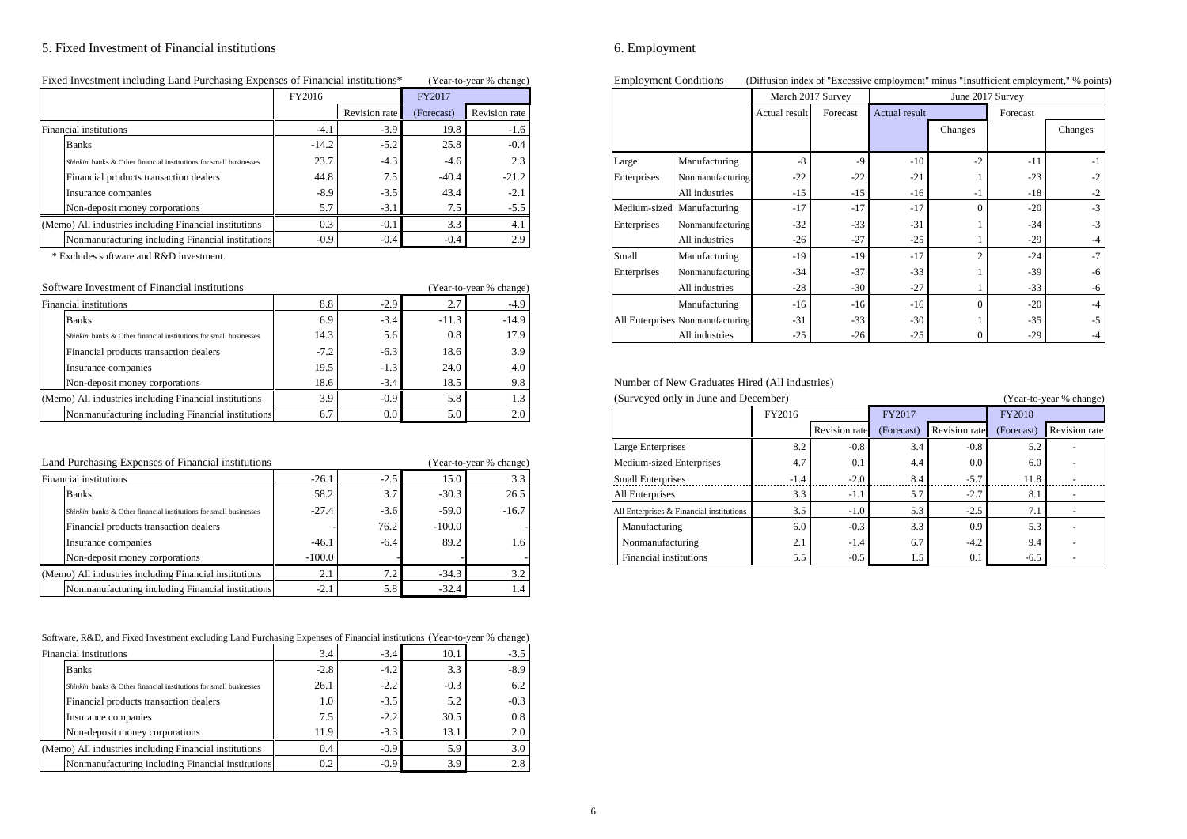# 5. Fixed Investment of Financial institutions 6. Employment

| Fixed Investment including Land Purchasing Expenses of Financial institutions* | (Year-to-year % change) |
|--------------------------------------------------------------------------------|-------------------------|
|--------------------------------------------------------------------------------|-------------------------|

|                                                                   | FY2016  |               | FY2017     |               |
|-------------------------------------------------------------------|---------|---------------|------------|---------------|
|                                                                   |         | Revision rate | (Forecast) | Revision rate |
| Financial institutions                                            | $-4.1$  | $-3.9$        | 19.8       | $-1.6$        |
| <b>Banks</b>                                                      | $-14.2$ | $-5.2$        | 25.8       | $-0.4$        |
| Shinkin banks & Other financial institutions for small businesses | 23.7    | $-4.3$        | $-4.6$     | 2.3           |
| Financial products transaction dealers                            | 44.8    | 7.5           | $-40.4$    | $-21.2$       |
| Insurance companies                                               | $-8.9$  | $-3.5$        | 43.4       | $-2.1$        |
| Non-deposit money corporations                                    | 5.7     | $-3.1$        | 7.5        | $-5.5$        |
| (Memo) All industries including Financial institutions            | 0.3     | $-0.1$        | 3.3        | 4.1           |
| Nonmanufacturing including Financial institutions                 | $-0.9$  | $-0.4$        | $-0.4$     | 2.9           |

| Software Investment of Financial institutions                     |                  |                  |         | (Year-to-year % change) | All industries                                 | $-28$  | $-30$ | $-27$  |         |
|-------------------------------------------------------------------|------------------|------------------|---------|-------------------------|------------------------------------------------|--------|-------|--------|---------|
| Financial institutions                                            | 8.8              | $-2.9$           |         | $-4.9$                  | Manufacturing                                  | $-16$  | $-16$ | $-16$  |         |
| <b>Banks</b>                                                      | 6.9              | $-3.4$           | $-11.3$ | $-14.9$                 | All Enterprises Nonmanufacturing               | $-31$  | $-33$ | $-30$  |         |
| Shinkin banks & Other financial institutions for small businesses | 14.3             | 5.6              | 0.8     | 17.9                    | All industries                                 | $-25$  | $-26$ | $-25$  |         |
| Financial products transaction dealers                            | $-7.2$           | $-6.3$           | 18.6    | 3.9                     |                                                |        |       |        |         |
| Insurance companies                                               | 19.5             | $-1.3$           | 24.0    | 4.0                     |                                                |        |       |        |         |
| Non-deposit money corporations                                    | 18.6             | $-3.4$           | 18.5    | 9.8                     | Number of New Graduates Hired (All industries) |        |       |        |         |
| (Memo) All industries including Financial institutions            | 3.9 <sub>1</sub> | $-0.9$           | 5.8     | $1.3 -$                 | (Surveyed only in June and December)           |        |       |        | (Year-t |
| Nonmanufacturing including Financial institutions                 | 6.7              | 0.0 <sub>1</sub> | 5.0     | 2.0                     |                                                | FY2016 |       | FY2017 | FY2018  |

| Land Purchasing Expenses of Financial institutions                |          |        |          | (Year-to-year % change) | Medium-sized Enterprises                 | 4.7                 |        | 4.4 | 0.0                 | 6.0    |  |
|-------------------------------------------------------------------|----------|--------|----------|-------------------------|------------------------------------------|---------------------|--------|-----|---------------------|--------|--|
| Financial institutions                                            | $-26.1$  | $-2.5$ | 15.0     | 3.3                     | <b>Small Enterprises</b>                 | $-1.4$              | -2.0   |     |                     | 11.8   |  |
| <b>Banks</b>                                                      | 58.2     | 3.7    | $-30.3$  | 26.5                    | All Enterprises                          | 3.3                 | -1.1   |     | $\sim$ $\sim$<br>-2 | 8.1    |  |
| Shinkin banks & Other financial institutions for small businesses | $-27.4$  | $-3.6$ | $-59.0$  | $-16.7$                 | All Enterprises & Financial institutions | 3.5                 | $-1.0$ |     | $-2.5$              |        |  |
| Financial products transaction dealers                            |          | 76.2   | $-100.0$ |                         | Manufacturing                            | 6.0                 |        | 3.3 | 0.9                 | 5.3    |  |
| Insurance companies                                               | $-46.1$  | $-6.4$ | 89.2     | 1.6                     | Nonmanufacturing                         | $^{\circ}$ 1<br>4.1 | -1.4   |     | $-4.2$              | 9.4    |  |
| Non-deposit money corporations                                    | $-100.0$ |        |          |                         | Financial institutions                   | 5.5                 |        |     | 0.1                 | $-6.5$ |  |
| (Memo) All industries including Financial institutions            | 2.1      |        | $-34.3$  | ے ۔                     |                                          |                     |        |     |                     |        |  |
| Nonmanufacturing including Financial institutions                 | $-2.1$   | 5.8    | $-32.4$  | 1.4                     |                                          |                     |        |     |                     |        |  |

| Software, R&D, and Fixed Investment excluding Land Purchasing Expenses of Financial institutions (Year-to-year % change) |  |
|--------------------------------------------------------------------------------------------------------------------------|--|
|--------------------------------------------------------------------------------------------------------------------------|--|

| Financial institutions                                            | 3.4    | $-3.4$ | 10.1   | $-3.5$ |
|-------------------------------------------------------------------|--------|--------|--------|--------|
| <b>Banks</b>                                                      | $-2.8$ | $-4.2$ | 3.3    | $-8.9$ |
| Shinkin banks & Other financial institutions for small businesses | 26.1   | $-2.2$ | $-0.3$ | 6.2    |
| Financial products transaction dealers                            | 1.0    | $-3.5$ | 5.2    | $-0.3$ |
| Insurance companies                                               | 7.5    | $-2.2$ | 30.5   | 0.8    |
| Non-deposit money corporations                                    | 11.9   | $-3.3$ | 13.1   | 2.0    |
| (Memo) All industries including Financial institutions            | 0.4    | $-0.9$ | 5.9    | 3.0    |
| Nonmanufacturing including Financial institutions                 | 0.2    | $-0.9$ | 3.9    | 2.8    |

Einployment Conditions (Diffusion index of "Excessive employment" minus "Insufficient employment," % points)

|  |                                                                   | FY2016  |               | FY2017     |                         |             |                                  | March 2017 Survey |          |                      | June 2017 Survey |          |         |
|--|-------------------------------------------------------------------|---------|---------------|------------|-------------------------|-------------|----------------------------------|-------------------|----------|----------------------|------------------|----------|---------|
|  |                                                                   |         | Revision rate | (Forecast) | Revision rate           |             |                                  | Actual result     | Forecast | <b>Actual result</b> |                  | Forecast |         |
|  | Financial institutions                                            | $-4.1$  | $-3.9$        | 19.8       | $-1.6$                  |             |                                  |                   |          |                      | Changes          |          | Changes |
|  | <b>Banks</b>                                                      | $-14.2$ | $-5.2$        | 25.8       | $-0.4$                  |             |                                  |                   |          |                      |                  |          |         |
|  | Shinkin banks & Other financial institutions for small businesses | 23.7    | $-4.3$        | $-4.6$     | 2.3                     | Large       | Manufacturing                    | -8                |          | $-10$                | $-2$             | $-1$     | $-1$    |
|  | Financial products transaction dealers                            | 44.8    | 7.5           | $-40.4$    | $-21.2$                 | Enterprises | Nonmanufacturing                 | $-22$             | $-22$    | $-21$                |                  | $-23$    | $-2$    |
|  | Insurance companies                                               | $-8.9$  | $-3.5$        | 43.4       | $-2.1$                  |             | All industries                   | $-15$             | $-15$    | $-16$                |                  | $-18$    | $-2$    |
|  | Non-deposit money corporations                                    | 5.7     | $-3.1$        | 7.5        | $-5.5$                  |             | Medium-sized Manufacturing       | $-17$             | $-17$    | $-17$                |                  | $-20$    | $-3$    |
|  | (Memo) All industries including Financial institutions            | 0.3     | $-0.1$        | 3.3        | 4.1                     | Enterprises | Nonmanufacturing                 | $-32$             | $-33$    | $-31$                |                  | $-34$    | $-3$    |
|  | Nonmanufacturing including Financial institutions                 | $-0.9$  | $-0.4$        | $-0.4$     | 2.9                     |             | All industries                   | $-26$             | $-27$    | $-25$                |                  | $-29$    | -4      |
|  | * Excludes software and R&D investment.                           |         |               |            |                         | Small       | Manufacturing                    | $-19$             | $-19$    | $-17$                |                  | $-24$    | $-7$    |
|  |                                                                   |         |               |            |                         | Enterprises | Nonmanufacturing                 | $-34$             | $-37$    | $-33$                |                  | $-39$    | -6      |
|  | Software Investment of Financial institutions                     |         |               |            | (Year-to-year % change) |             | All industries                   | $-28$             | $-30$    | $-27$                |                  | $-33$    | -6      |
|  | Financial institutions                                            | 8.8     | $-2.9$        | 2.7        | $-4.9$                  |             | Manufacturing                    | $-16$             | $-16$    | $-16$                |                  | $-20$    | $-4$    |
|  | <b>Banks</b>                                                      | 6.9     | $-3.4$        | $-11.3$    | $-14.9$                 |             | All Enterprises Nonmanufacturing | $-31$             | $-33$    | $-30$                |                  | $-35$    | $-5$    |
|  | Shinkin banks & Other financial institutions for small businesses | 14.3    | 5.6           | 0.8        | 17.9                    |             | All industries                   | $-25$             | $-26$    | $-25$                |                  | $-29$    |         |

# Number of New Graduates Hired (All industries)

| (Memo) All industries including Financial institutions            | 3.9      | $-0.9$           | 5.8      | 1.3                     | (Surveyed only in June and December)     | (Year-to-year % change) |               |        |                          |            |                      |
|-------------------------------------------------------------------|----------|------------------|----------|-------------------------|------------------------------------------|-------------------------|---------------|--------|--------------------------|------------|----------------------|
| Nonmanufacturing including Financial institutions                 | 6.7      | 0.0 <sub>1</sub> | 5.0      | 2.0                     |                                          | FY2016                  |               | FY2017 |                          | FY2018     |                      |
|                                                                   |          |                  |          |                         |                                          |                         | Revision rate |        | (Forecast) Revision rate | (Forecast) | <b>Revision rate</b> |
|                                                                   |          |                  |          |                         | Large Enterprises                        | 8.2                     | $-0.8$        | 3.4    | $-0.8$                   | 5.2        |                      |
| Land Purchasing Expenses of Financial institutions                |          |                  |          | (Year-to-year % change) | Medium-sized Enterprises                 | 4.7                     |               | 4.4    | $0.0^{\circ}$            | 6.0        |                      |
| Financial institutions                                            | $-26.$   | $-2.5$           | 15.0     | 3.3                     | <b>Small Enterprises</b>                 | -1.4                    | ን በ           | 8.4    | $-5.7$                   | 11.8       |                      |
| <b>Banks</b>                                                      | 58.2     | 3.7              | $-30.3$  | 26.5                    | All Enterprises                          | 3.3                     |               |        | -2. I                    |            |                      |
| Shinkin banks & Other financial institutions for small businesses | $-27.4$  | $-3.6$           | $-59.0$  | $-16.7$                 | All Enterprises & Financial institutions |                         |               |        | -2.5                     |            |                      |
| Financial products transaction dealers                            |          | 76.2             | $-100.0$ |                         | Manufacturing                            | 6.0                     | $-0.3$        | 3.3    | 0.9                      | 5.3        |                      |
| Insurance companies                                               | $-46.$   | $-6.4$           | 89.2     | 1.6                     | Nonmanufacturing                         | $\mathcal{L}$ . 1       | $-1.4$        | 6.7    | $-4.2$                   | 9.4        |                      |
| Non-deposit money corporations                                    | $-100.0$ |                  |          |                         | Financial institutions                   | 5.5                     | $-0.5$        |        | 0.1                      | $-6.5$     |                      |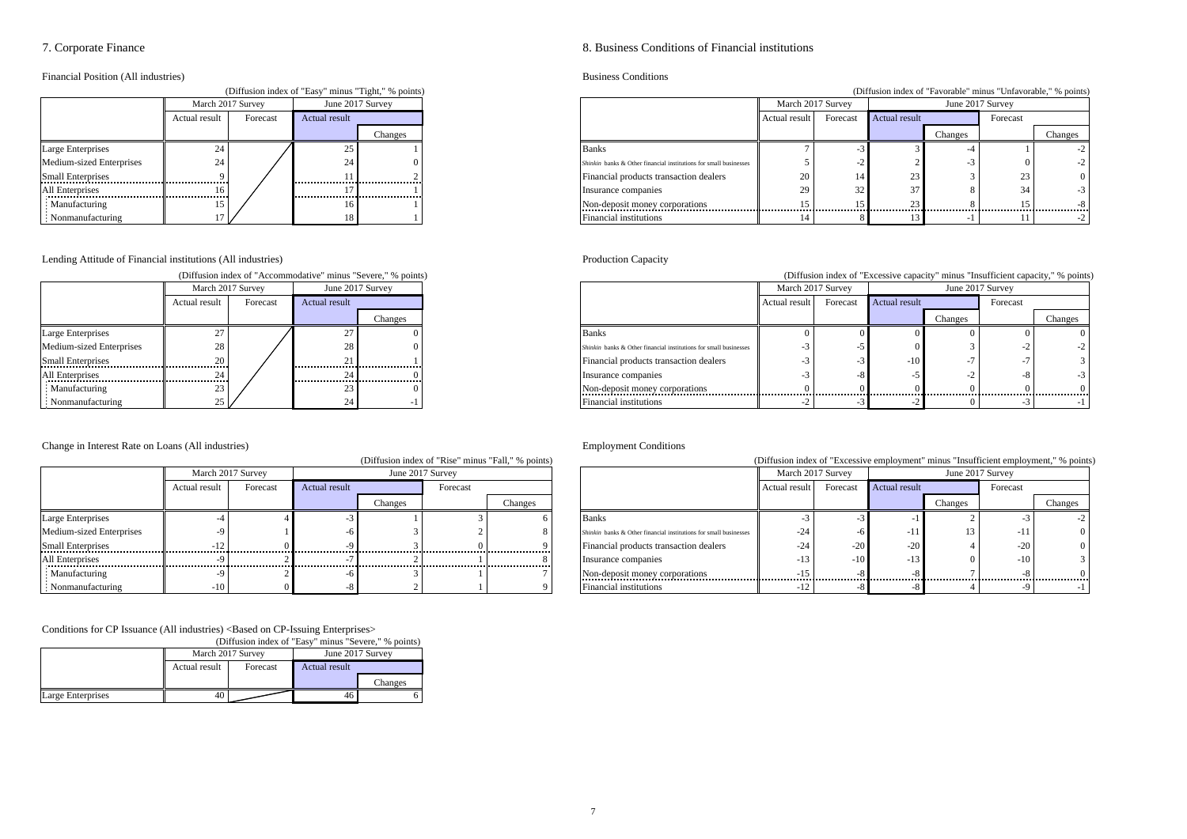Financial Position (All industries)<br>
Chiffinische Labert ("Exer" princes" Exercíses)<br>
Business Conditions

| Diffusion index of "Easy" minus "Tight," % points) |                   |          |                      |         |  |  |  |  |  |  |
|----------------------------------------------------|-------------------|----------|----------------------|---------|--|--|--|--|--|--|
|                                                    | March 2017 Survey |          | June 2017 Survey     |         |  |  |  |  |  |  |
|                                                    | Actual result     | Forecast | <b>Actual result</b> |         |  |  |  |  |  |  |
|                                                    |                   |          |                      | Changes |  |  |  |  |  |  |
| <b>Large Enterprises</b>                           | 24                |          | 25                   |         |  |  |  |  |  |  |
| Medium-sized Enterprises                           | 24                |          | 24                   |         |  |  |  |  |  |  |
| <b>Small Enterprises</b>                           |                   |          | 11                   |         |  |  |  |  |  |  |
| All Enterprises                                    | 16                |          | 17                   |         |  |  |  |  |  |  |
| : Manufacturing                                    | 15                |          | 16                   |         |  |  |  |  |  |  |
| Nonmanufacturing                                   |                   |          | 18                   |         |  |  |  |  |  |  |

Lending Attitude of Financial institutions (All industries) Production Capacity

|                          |                   |          |                      | (Diffusion index of "Accommodative" minus "Severe," % points) |  |  |
|--------------------------|-------------------|----------|----------------------|---------------------------------------------------------------|--|--|
|                          | March 2017 Survey |          | June 2017 Survey     |                                                               |  |  |
|                          | Actual result     | Forecast | <b>Actual result</b> |                                                               |  |  |
|                          |                   |          |                      | Changes                                                       |  |  |
| Large Enterprises        | 27                |          | 27                   |                                                               |  |  |
| Medium-sized Enterprises | 28                |          | 28                   |                                                               |  |  |
| <b>Small Enterprises</b> | 20                |          | 21                   |                                                               |  |  |
| All Enterprises          | 24                |          | 24                   |                                                               |  |  |
| Manufacturing            | 23                |          | 23                   |                                                               |  |  |
| Nonmanufacturing         | 25                |          | 24                   | - 1                                                           |  |  |

### Change in Interest Rate on Loans (All industries) Employment Conditions

|                          |               |                   |               |                  | (Diffusion index of "Rise" minus "Fall," % points) |         |  |                                                                   | (Diffusion index of "Excessive employment" minus "Insufficient employment," % poin |                   |                      |         |          |         |
|--------------------------|---------------|-------------------|---------------|------------------|----------------------------------------------------|---------|--|-------------------------------------------------------------------|------------------------------------------------------------------------------------|-------------------|----------------------|---------|----------|---------|
|                          |               | March 2017 Survey |               | June 2017 Survey |                                                    |         |  |                                                                   |                                                                                    | March 2017 Survey | June 2017 Survey     |         |          |         |
|                          | Actual result | Forecast          | Actual result |                  | Forecast                                           |         |  |                                                                   | Actual result                                                                      | Forecast          | <b>Actual result</b> |         | Forecast |         |
|                          |               |                   |               | Changes          |                                                    | Changes |  |                                                                   |                                                                                    |                   |                      | Changes |          | Changes |
| <b>Large Enterprises</b> |               |                   |               |                  |                                                    |         |  | Banks                                                             |                                                                                    |                   |                      |         |          |         |
| Medium-sized Enterprises |               |                   |               |                  |                                                    |         |  | Shinkin banks & Other financial institutions for small businesses | $-24$                                                                              |                   |                      |         | - 11     |         |
| <b>Small Enterprises</b> |               |                   |               |                  |                                                    |         |  | Financial products transaction dealers                            | $-24$                                                                              |                   | $-20$                |         | $-20$    |         |
| All Enterprises          |               |                   |               |                  |                                                    |         |  | Insurance companies                                               | $-1$ :                                                                             | $-10$             |                      |         | $-10$    |         |
| Manufacturing            |               |                   |               |                  |                                                    |         |  | Non-deposit money corporations                                    |                                                                                    |                   |                      |         |          |         |
| Nonmanufacturing         | $-10$         |                   |               |                  |                                                    |         |  | Financial institutions                                            |                                                                                    |                   |                      |         |          |         |

Conditions for CP Issuance (All industries) <Based on CP-Issuing Enterprises>

|                   | (Diffusion index of "Easy" minus "Severe," % points) |                   |                      |         |  |  |  |  |  |  |
|-------------------|------------------------------------------------------|-------------------|----------------------|---------|--|--|--|--|--|--|
|                   |                                                      | March 2017 Survey | June 2017 Survey     |         |  |  |  |  |  |  |
|                   | Actual result                                        | Forecast          | <b>Actual result</b> |         |  |  |  |  |  |  |
|                   |                                                      |                   |                      | Changes |  |  |  |  |  |  |
| Large Enterprises | 40                                                   |                   | 40                   |         |  |  |  |  |  |  |

### 7. Corporate Finance 8. Business Conditions of Financial institutions

### (Diffusion index of "Favorable" minus "Unfavorable," % points)

|                          | March 2017 Survey |          |               | June 2017 Survey |                                                                   | March 2017 Survey |          |               | June 2017 Survey |          |          |
|--------------------------|-------------------|----------|---------------|------------------|-------------------------------------------------------------------|-------------------|----------|---------------|------------------|----------|----------|
|                          | Actual result     | Forecast | Actual result |                  |                                                                   | Actual result     | Forecast | Actual result |                  | Forecast |          |
|                          |                   |          |               | Changes          |                                                                   |                   |          |               | Changes          |          | Changes  |
| Large Enterprises        |                   |          |               |                  | Banks                                                             |                   |          |               |                  |          |          |
| Medium-sized Enterprises | 24                |          |               |                  | Shinkin banks & Other financial institutions for small businesses |                   |          |               |                  |          |          |
|                          |                   |          |               |                  | Financial products transaction dealers                            |                   |          |               |                  | 23       | $\Omega$ |
| All Enterprises          | 16                |          |               |                  | Insurance companies                                               |                   |          |               |                  |          |          |
| Manufacturing            | 15                |          |               |                  | Non-deposit money corporations                                    |                   |          |               |                  | .        |          |
| Nonmanufacturing         |                   |          |               |                  | Financial institutions                                            |                   |          |               |                  |          |          |

(Diffusion index of "Excessive capacity" minus "Insufficient capacity," % points)

|                          | March 2017 Survey |          |               | June 2017 Survey |                                                                   | March 2017 Survey |          |                      | June 2017 Survey |          |         |
|--------------------------|-------------------|----------|---------------|------------------|-------------------------------------------------------------------|-------------------|----------|----------------------|------------------|----------|---------|
|                          | Actual result     | Forecast | Actual result |                  |                                                                   | Actual result     | Forecast | <b>Actual result</b> |                  | Forecast |         |
|                          |                   |          |               | Changes          |                                                                   |                   |          |                      | Changes          |          | Changes |
| Large Enterprises        |                   |          |               |                  | <b>Banks</b>                                                      |                   |          |                      |                  |          |         |
| Medium-sized Enterprises |                   |          |               |                  | Shinkin banks & Other financial institutions for small businesses |                   |          |                      |                  |          | $-2$    |
|                          |                   |          |               |                  | Financial products transaction dealers                            |                   |          | $-10$                |                  |          |         |
| All Enterprises          |                   |          |               |                  | Insurance companies                                               |                   |          |                      |                  |          | $-3$    |
| Manufacturing            |                   |          |               |                  | Non-deposit money corporations                                    |                   |          |                      |                  |          |         |
| Nonmanufacturing         |                   |          |               |                  | Financial institutions                                            |                   |          |                      |                  |          |         |

|                          |                   |                          |               |                  | (Diffusion index of "Rise" minus "Fall," % points) |         |                                                                   | (Diffusion index of "Excessive employment" minus "Insufficient employment," % points) |          |                  |         |          |         |
|--------------------------|-------------------|--------------------------|---------------|------------------|----------------------------------------------------|---------|-------------------------------------------------------------------|---------------------------------------------------------------------------------------|----------|------------------|---------|----------|---------|
|                          | March 2017 Survey |                          |               | June 2017 Survey |                                                    |         |                                                                   | March 2017 Survey                                                                     |          | June 2017 Survey |         |          |         |
|                          | Actual result     | Forecast                 | Actual result |                  | Forecast                                           |         |                                                                   | Actual result                                                                         | Forecast | Actual result    |         | Forecast |         |
|                          |                   |                          |               | Changes          |                                                    | Changes |                                                                   |                                                                                       |          |                  | Changes |          | Changes |
| arge Enterprises         |                   |                          |               |                  |                                                    |         | Banks.                                                            |                                                                                       |          |                  |         |          |         |
| Iedium-sized Enterprises |                   |                          |               |                  |                                                    |         | Shinkin banks & Other financial institutions for small businesses | -24                                                                                   |          |                  |         | -1.      |         |
| mall Enterprises         |                   | ------------------------ |               |                  |                                                    |         | Financial products transaction dealers                            |                                                                                       |          | $-20$            |         | $-20$    |         |
| Il Enterprises           |                   |                          |               |                  |                                                    |         | Insurance companies                                               |                                                                                       | $-1()$   | $-1.5$           |         | $-10$    |         |
| Manufacturing            |                   |                          |               |                  |                                                    |         | Non-deposit money corporations                                    |                                                                                       |          |                  |         |          |         |
| Nonmanufacturing         | $-10^{-}$         |                          |               |                  |                                                    |         | Financial institutions                                            |                                                                                       |          |                  |         |          |         |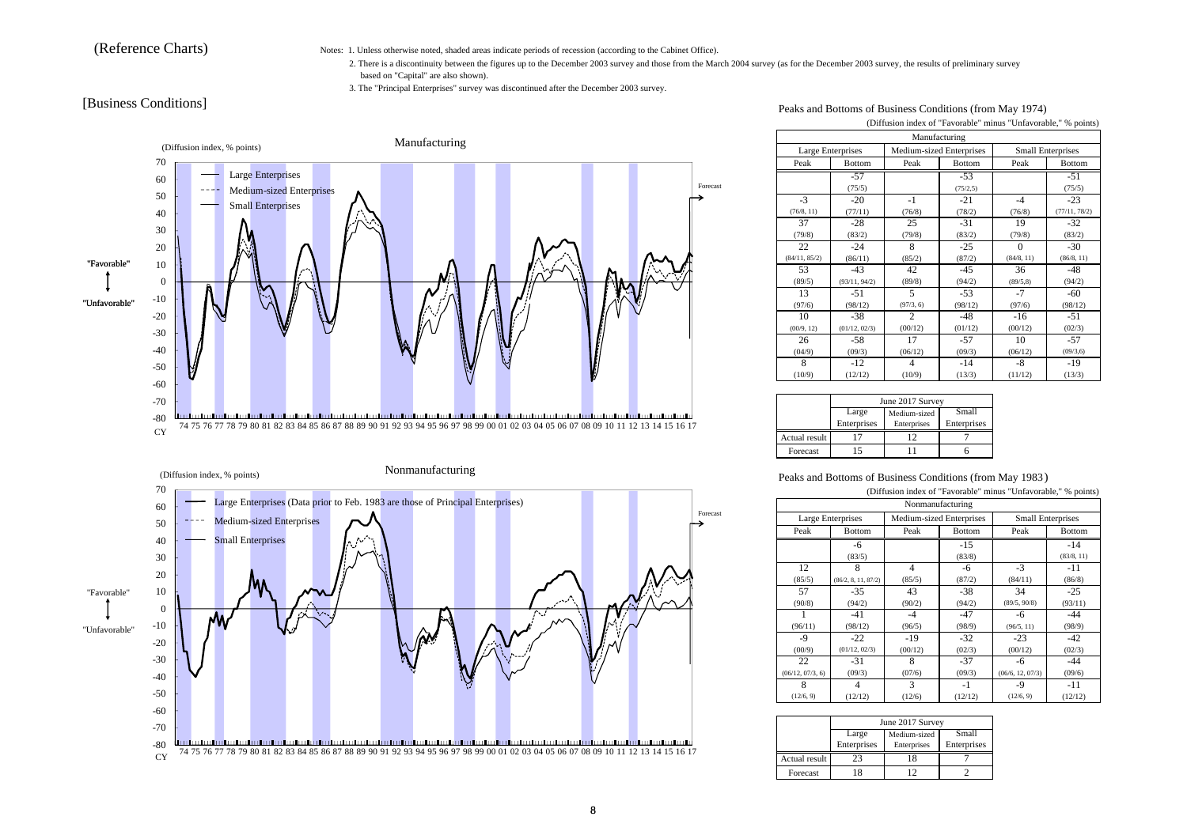(Reference Charts) Notes: 1. Unless otherwise noted, shaded areas indicate periods of recession (according to the Cabinet Office).

- 2. There is a discontinuity between the figures up to the December 2003 survey and those from the March 2004 survey (as for the December 2003 survey, the results of preliminary survey based on "Capital" are also shown).
- 3. The "Principal Enterprises" survey was discontinued after the December 2003 survey.





[Business Conditions] Peaks and Bottoms of Business Conditions (from May 1974)

(Diffusion index of "Favorable" minus "Unfavorable," % points)

|               | Manufacturing     |                |                          |            |                          |  |  |  |  |  |  |  |
|---------------|-------------------|----------------|--------------------------|------------|--------------------------|--|--|--|--|--|--|--|
|               | Large Enterprises |                | Medium-sized Enterprises |            | <b>Small Enterprises</b> |  |  |  |  |  |  |  |
| Peak          | <b>Bottom</b>     | Peak           | Bottom                   | Peak       | <b>Bottom</b>            |  |  |  |  |  |  |  |
|               | $-57$             |                | $-53$                    |            | $-51$                    |  |  |  |  |  |  |  |
|               | (75/5)            |                | (75/2, 5)                |            | (75/5)                   |  |  |  |  |  |  |  |
| $-3$          | $-20$             | -1             | $-21$                    | $-4$       | $-23$                    |  |  |  |  |  |  |  |
| (76/8, 11)    | (77/11)           | (76/8)         | (78/2)                   | (76/8)     | (77/11, 78/2)            |  |  |  |  |  |  |  |
| 37            | $-28$             | 25             | $-31$                    | 19         | $-32$                    |  |  |  |  |  |  |  |
| (79/8)        | (83/2)            | (79/8)         | (83/2)                   | (79/8)     | (83/2)                   |  |  |  |  |  |  |  |
| 22            | $-24$             | 8              | $-25$                    | $\Omega$   | $-30$                    |  |  |  |  |  |  |  |
| (84/11, 85/2) | (86/11)           | (85/2)         | (87/2)                   | (84/8, 11) | (86/8, 11)               |  |  |  |  |  |  |  |
| 53            | $-43$             | 42             | $-45$                    | 36         | $-48$                    |  |  |  |  |  |  |  |
| (89/5)        | (93/11, 94/2)     | (89/8)         | (94/2)                   | (89/5, 8)  | (94/2)                   |  |  |  |  |  |  |  |
| 13            | $-51$             | 5              | $-53$                    | $-7$       | $-60$                    |  |  |  |  |  |  |  |
| (97/6)        | (98/12)           | (97/3, 6)      | (98/12)                  | (97/6)     | (98/12)                  |  |  |  |  |  |  |  |
| 10            | $-38$             | $\overline{c}$ | $-48$                    | $-16$      | $-51$                    |  |  |  |  |  |  |  |
| (00/9, 12)    | (01/12, 02/3)     | (00/12)        | (01/12)                  | (00/12)    | (02/3)                   |  |  |  |  |  |  |  |
| 26            | -58               | 17             | $-57$                    | 10         | $-57$                    |  |  |  |  |  |  |  |
| (04/9)        | (09/3)            | (06/12)        | (09/3)                   | (06/12)    | (09/3, 6)                |  |  |  |  |  |  |  |
| 8             | $-12$             | 4              | $-14$                    | -8         | -19                      |  |  |  |  |  |  |  |
| (10/9)        | (12/12)           | (10/9)         | (13/3)                   | (11/12)    | (13/3)                   |  |  |  |  |  |  |  |

|               |                      | June 2017 Survey            |                      |
|---------------|----------------------|-----------------------------|----------------------|
|               | Large<br>Enterprises | Medium-sized<br>Enterprises | Small<br>Enterprises |
| Actual result |                      | 12                          |                      |
| Forecast      |                      |                             |                      |

Peaks and Bottoms of Business Conditions (from May 1983 )

| (Diffusion index of "Favorable" minus "Unfavorable," % points) |                                                                           |         |               |                  |               |  |
|----------------------------------------------------------------|---------------------------------------------------------------------------|---------|---------------|------------------|---------------|--|
|                                                                | Nonmanufacturing                                                          |         |               |                  |               |  |
|                                                                | Large Enterprises<br>Medium-sized Enterprises<br><b>Small Enterprises</b> |         |               |                  |               |  |
| Peak                                                           | <b>Bottom</b>                                                             | Peak    | <b>Bottom</b> | Peak             | <b>Bottom</b> |  |
|                                                                | -6                                                                        |         | $-15$         |                  | $-14$         |  |
|                                                                | (83/5)                                                                    |         | (83/8)        |                  | (83/8, 11)    |  |
| 12                                                             | 8                                                                         | 4       | -6            | $-3$             | $-11$         |  |
| (85/5)                                                         | (86/2, 8, 11, 87/2)                                                       | (85/5)  | (87/2)        | (84/11)          | (86/8)        |  |
| 57                                                             | $-35$                                                                     | 43      | $-38$         | 34               | $-25$         |  |
| (90/8)                                                         | (94/2)                                                                    | (90/2)  | (94/2)        | (89/5, 90/8)     | (93/11)       |  |
|                                                                | -41                                                                       | -4      | $-47$         | -6               | -44           |  |
| (96/11)                                                        | (98/12)                                                                   | (96/5)  | (98/9)        | (96/5, 11)       | (98/9)        |  |
| -9                                                             | $-22$                                                                     | $-19$   | $-32$         | $-23$            | -42           |  |
| (00/9)                                                         | (01/12, 02/3)                                                             | (00/12) | (02/3)        | (00/12)          | (02/3)        |  |
| 22                                                             | $-31$                                                                     | 8       | $-37$         | -6               | -44           |  |
| (06/12, 07/3, 6)                                               | (09/3)                                                                    | (07/6)  | (09/3)        | (06/6, 12, 07/3) | (09/6)        |  |
| 8                                                              | 4                                                                         | 3       | -1            | -9               | $-11$         |  |
| (12/6, 9)                                                      | (12/12)                                                                   | (12/6)  | (12/12)       | (12/6, 9)        | (12/12)       |  |

|               | June 2017 Survey     |                             |                      |  |  |
|---------------|----------------------|-----------------------------|----------------------|--|--|
|               | Large<br>Enterprises | Medium-sized<br>Enterprises | Small<br>Enterprises |  |  |
|               |                      |                             |                      |  |  |
| Actual result | 23                   |                             |                      |  |  |
| Forecast      | 18                   |                             |                      |  |  |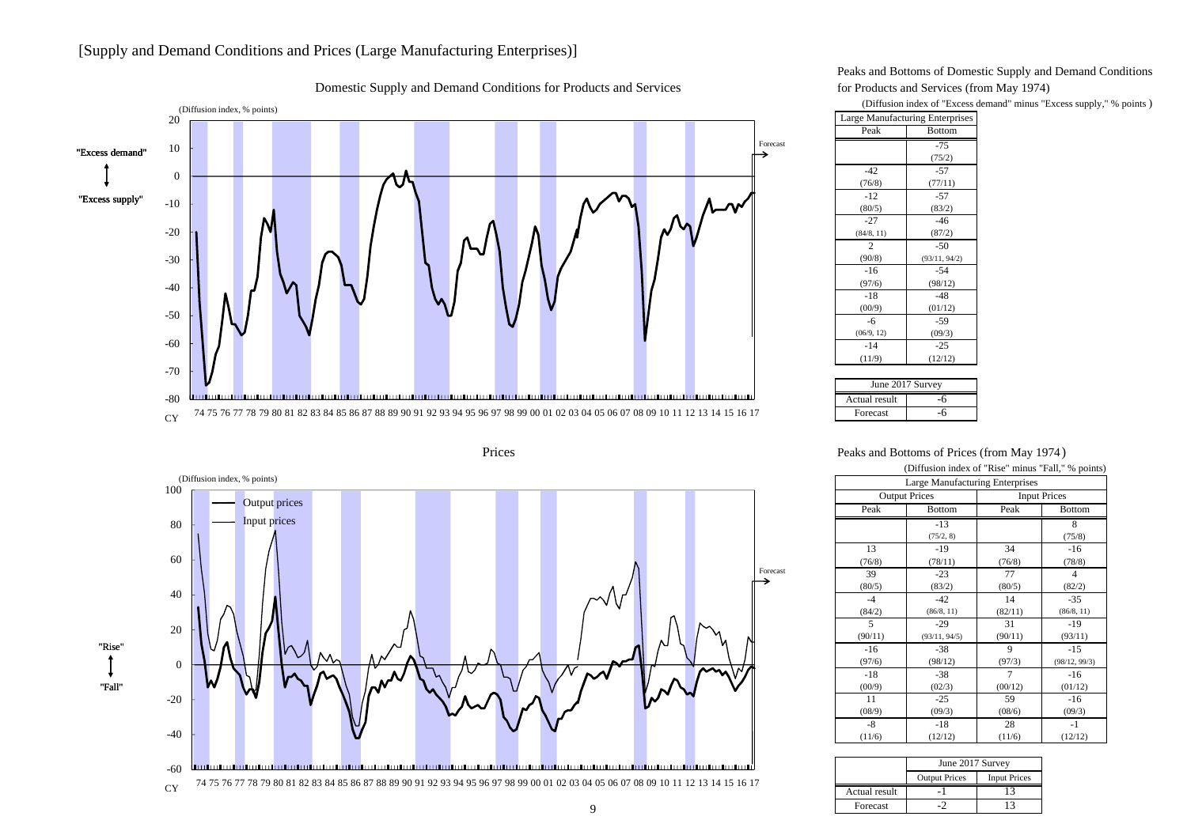# [Supply and Demand Conditions and Prices (Large Manufacturing Enterprises)]



Domestic Supply and Demand Conditions for Products and Services for Products and Services (from May 1974)

Prices



Peaks and Bottoms of Domestic Supply and Demand Conditions

(Diffusion index of "Excess demand" minus "Excess supply," % points )

| <b>Large Manufacturing Enterprises</b> |               |  |  |
|----------------------------------------|---------------|--|--|
| Peak                                   | <b>Bottom</b> |  |  |
|                                        | $-75$         |  |  |
|                                        | (75/2)        |  |  |
| $-42$                                  | $-57$         |  |  |
| (76/8)                                 | (77/11)       |  |  |
| $-12$                                  | $-57$         |  |  |
| (80/5)                                 | (83/2)        |  |  |
| $-27$                                  | $-46$         |  |  |
| (84/8, 11)                             | (87/2)        |  |  |
| 2                                      | $-50$         |  |  |
| (90/8)                                 | (93/11, 94/2) |  |  |
| $-16$                                  | $-54$         |  |  |
| (97/6)                                 | (98/12)       |  |  |
| $-18$                                  | $-48$         |  |  |
| (00/9)                                 | (01/12)       |  |  |
| $-6$                                   | -59           |  |  |
| (06/9, 12)                             | (09/3)        |  |  |
| $-14$                                  | $-25$         |  |  |
| (11/9)                                 | (12/12)       |  |  |
|                                        |               |  |  |

| June 2017 Survey |  |  |  |  |
|------------------|--|--|--|--|
| Actual result    |  |  |  |  |
| Forecast         |  |  |  |  |

Peaks and Bottoms of Prices (from May 1974 )

| (Diffusion index of "Rise" minus "Fall," % points) |                                 |         |                     |  |  |  |
|----------------------------------------------------|---------------------------------|---------|---------------------|--|--|--|
|                                                    | Large Manufacturing Enterprises |         |                     |  |  |  |
|                                                    | <b>Output Prices</b>            |         | <b>Input Prices</b> |  |  |  |
| Peak                                               | <b>Bottom</b>                   | Peak    | <b>Bottom</b>       |  |  |  |
|                                                    | $-13$                           |         | 8                   |  |  |  |
|                                                    | (75/2, 8)                       |         | (75/8)              |  |  |  |
| 13                                                 | -19                             | 34      | $-16$               |  |  |  |
| (76/8)                                             | (78/11)                         | (76/8)  | (78/8)              |  |  |  |
| 39                                                 | $-23$                           | 77      | 4                   |  |  |  |
| (80/5)                                             | (83/2)                          | (80/5)  | (82/2)              |  |  |  |
| $-4$                                               | $-42$                           | 14      | $-35$               |  |  |  |
| (84/2)                                             | (86/8, 11)                      | (82/11) | (86/8, 11)          |  |  |  |
| 5                                                  | $-29$                           | 31      | $-19$               |  |  |  |
| (90/11)                                            | (93/11, 94/5)                   | (90/11) | (93/11)             |  |  |  |
| $-16$                                              | $-38$                           | 9       | $-15$               |  |  |  |
| (97/6)                                             | (98/12)                         | (97/3)  | (98/12, 99/3)       |  |  |  |
| $-18$                                              | $-38$                           | 7       | $-16$               |  |  |  |
| (00/9)                                             | (02/3)                          | (00/12) | (01/12)             |  |  |  |
| 11                                                 | $-25$                           | 59      | $-16$               |  |  |  |
| (08/9)                                             | (09/3)                          | (08/6)  | (09/3)              |  |  |  |
| -8                                                 | $-18$                           | 28      | $-1$                |  |  |  |
| (11/6)                                             | (12/12)                         | (11/6)  | (12/12)             |  |  |  |

|               | June 2017 Survey     |                     |  |  |  |
|---------------|----------------------|---------------------|--|--|--|
|               | <b>Output Prices</b> | <b>Input Prices</b> |  |  |  |
| Actual result |                      |                     |  |  |  |
| Forecast      |                      |                     |  |  |  |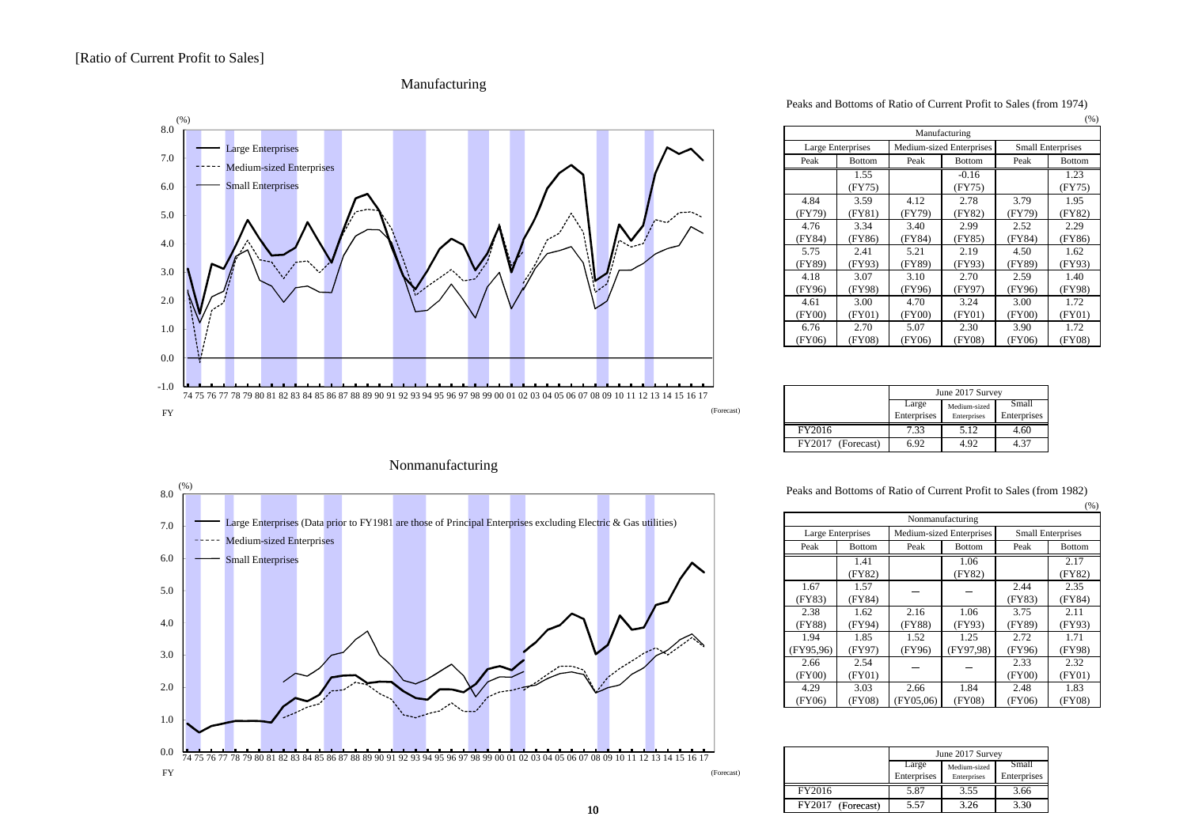



## Nonmanufacturing



Peaks and Bottoms of Ratio of Current Profit to Sales (from 1974)

|        |                   |        |                          |        | (%)                      |  |
|--------|-------------------|--------|--------------------------|--------|--------------------------|--|
|        | Manufacturing     |        |                          |        |                          |  |
|        | Large Enterprises |        | Medium-sized Enterprises |        | <b>Small Enterprises</b> |  |
| Peak   | <b>Bottom</b>     | Peak   | <b>Bottom</b>            | Peak   | <b>Bottom</b>            |  |
|        | 1.55              |        | $-0.16$                  |        | 1.23                     |  |
|        | (FY75)            |        | (FY75)                   |        | (FY75)                   |  |
| 4.84   | 3.59              | 4.12   | 2.78                     | 3.79   | 1.95                     |  |
| (FY79) | (FY81)            | (FY79) | (FY82)                   | (FY79) | (FY82)                   |  |
| 4.76   | 3.34              | 3.40   | 2.99                     | 2.52   | 2.29                     |  |
| (FY84) | (FY86)            | (FY84) | (FY85)                   | (FY84) | (FY86)                   |  |
| 5.75   | 2.41              | 5.21   | 2.19                     | 4.50   | 1.62                     |  |
| (FY89) | (FY93)            | (FY89) | (FY93)                   | (FY89) | (FY93)                   |  |
| 4.18   | 3.07              | 3.10   | 2.70                     | 2.59   | 1.40                     |  |
| (FY96) | (FY98)            | (FY96) | (FY97)                   | (FY96) | (FY98)                   |  |
| 4.61   | 3.00              | 4.70   | 3.24                     | 3.00   | 1.72                     |  |
| (FY00) | (FY01)            | (FY00) | (FY01)                   | (FY00) | (FY01)                   |  |
| 6.76   | 2.70              | 5.07   | 2.30                     | 3.90   | 1.72                     |  |
| (FY06) | (FY08)            | (FY06) | (FY08)                   | (FY06) | (FY08)                   |  |

|                   | June 2017 Survey     |                             |                      |  |  |
|-------------------|----------------------|-----------------------------|----------------------|--|--|
|                   | Large<br>Enterprises | Medium-sized<br>Enterprises | Small<br>Enterprises |  |  |
| FY2016            | 7.33                 | 5.12                        | 4.60                 |  |  |
| FY2017 (Forecast) | 6.92                 | 4.92                        | 4.37                 |  |  |

Peaks and Bottoms of Ratio of Current Profit to Sales (from 1982)

|           |                   |           |                          |        | (% )                     |
|-----------|-------------------|-----------|--------------------------|--------|--------------------------|
|           | Nonmanufacturing  |           |                          |        |                          |
|           | Large Enterprises |           | Medium-sized Enterprises |        | <b>Small Enterprises</b> |
| Peak      | <b>Bottom</b>     | Peak      | <b>Bottom</b>            | Peak   | <b>Bottom</b>            |
|           | 1.41              |           | 1.06                     |        | 2.17                     |
|           | (FY82)            |           | (FY82)                   |        | (FY82)                   |
| 1.67      | 1.57              |           |                          | 2.44   | 2.35                     |
| (FY83)    | (FY84)            |           |                          | (FY83) | (FY84)                   |
| 2.38      | 1.62              | 2.16      | 1.06                     | 3.75   | 2.11                     |
| (FY88)    | (FY94)            | (FY88)    | (FY93)                   | (FY89) | (FY93)                   |
| 1.94      | 1.85              | 1.52      | 1.25                     | 2.72   | 1.71                     |
| (FY95,96) | (FY97)            | (FY96)    | (FY97,98)                | (FY96) | (FY98)                   |
| 2.66      | 2.54              |           |                          | 2.33   | 2.32                     |
| (FY00)    | (FY01)            |           |                          | (FY00) | (FY01)                   |
| 4.29      | 3.03              | 2.66      | 1.84                     | 2.48   | 1.83                     |
| (FY06)    | (FY08)            | (FY05,06) | (FY08)                   | (FY06) | (FY08)                   |

| 08 09 10 11 12 13 14 15 16 17 |                      |                      | June 2017 Survey            |                      |
|-------------------------------|----------------------|----------------------|-----------------------------|----------------------|
| (Forecast)                    |                      | Large<br>Enterprises | Medium-sized<br>Enterprises | Small<br>Enterprises |
|                               | FY2016               | 5.87                 | 3.55                        | 3.66                 |
| 0                             | FY2017<br>(Forecast) | 5.57                 | 3.26                        | 3.30                 |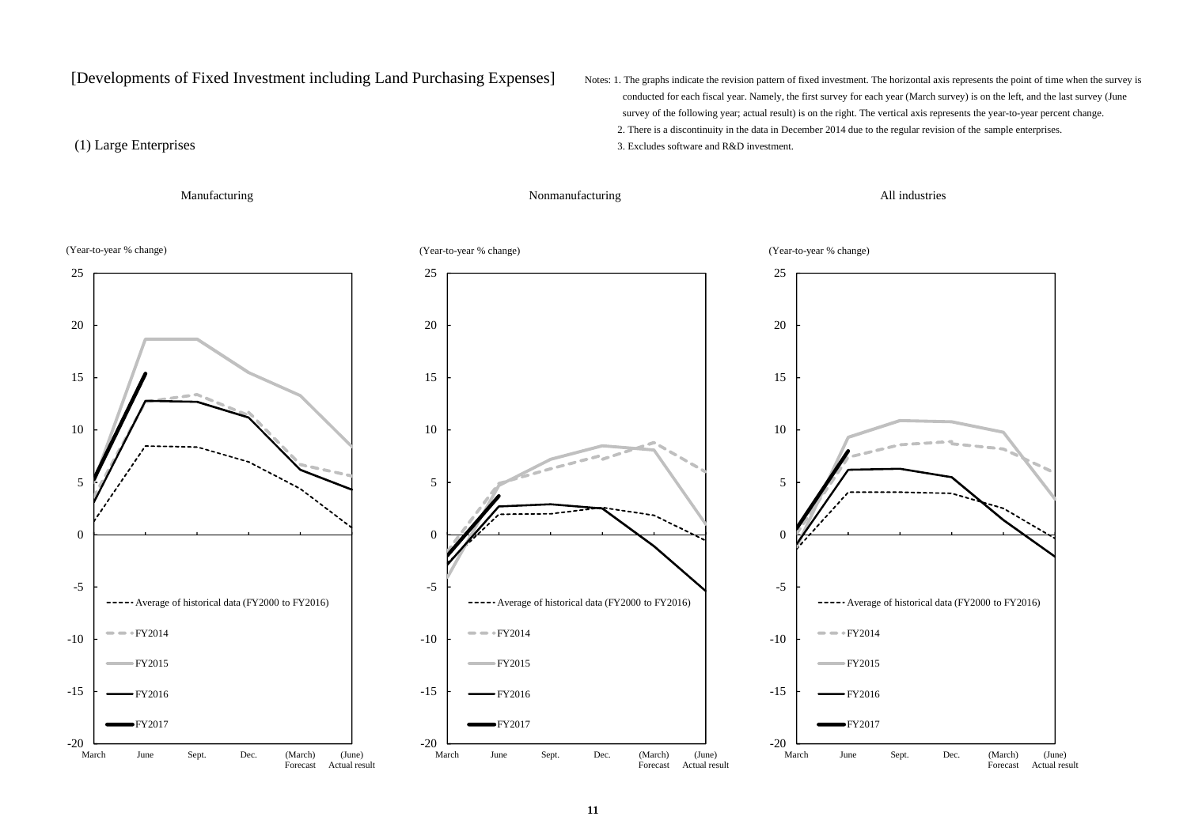[Developments of Fixed Investment including Land Purchasing Expenses] Notes: 1. The graphs indicate the revision pattern of fixed investment. The horizontal axis represents the point of time when the survey is

 conducted for each fiscal year. Namely, the first survey for each year (March survey) is on the left, and the last survey (June survey of the following year; actual result) is on the right. The vertical axis represents the year-to-year percent change. 2. There is a discontinuity in the data in December 2014 due to the regular revision of the sample enterprises.

(Year-to-year % change)

(1) Large Enterprises 3. Excludes software and R&D investment.

Manufacturing All industries Nonmanufacturing and All industries







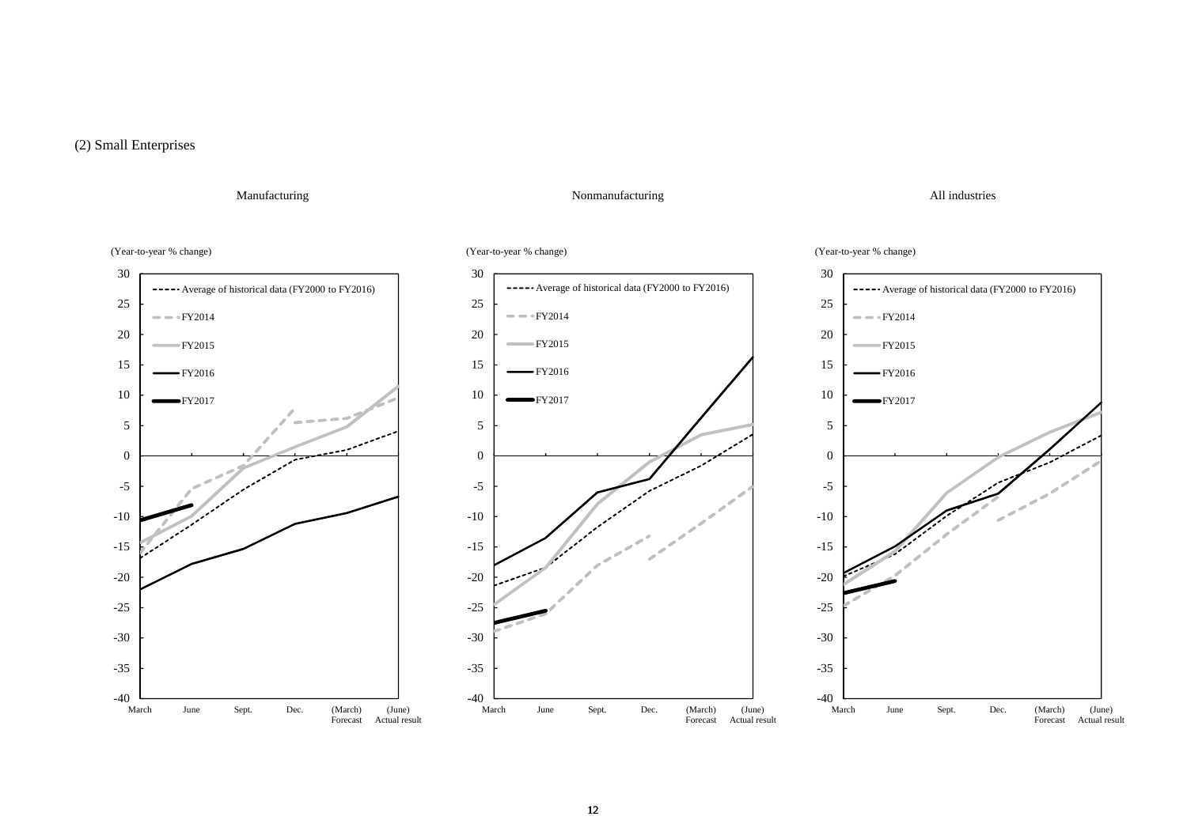# (2) Small Enterprises

## Manufacturing All industries

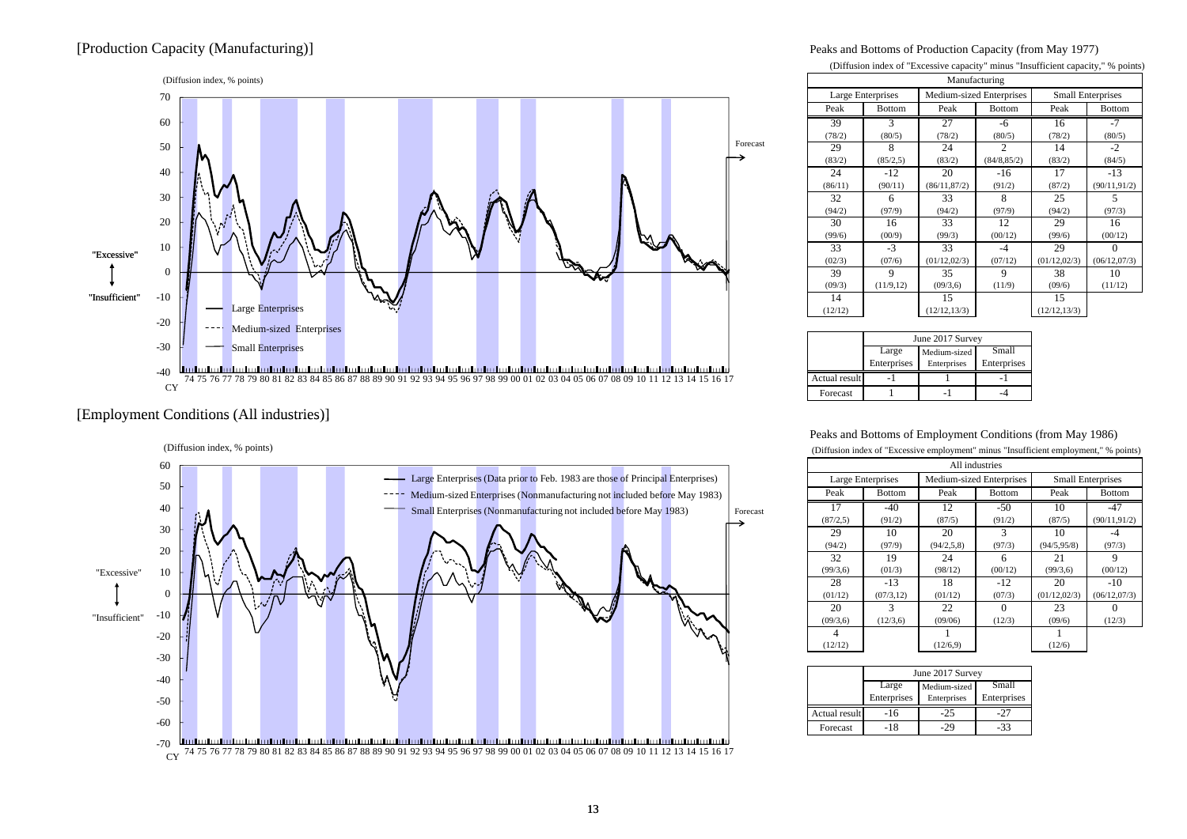# [Production Capacity (Manufacturing)] Peaks and Bottoms of Production Capacity (from May 1977)



## [Employment Conditions (All industries)] [Employment Conditions (All



### (Diffusion index of "Excessive capacity" minus "Insufficient capacity," % points)

| Manufacturing |                                               |               |                |                          |               |
|---------------|-----------------------------------------------|---------------|----------------|--------------------------|---------------|
|               | Medium-sized Enterprises<br>Large Enterprises |               |                | <b>Small Enterprises</b> |               |
| Peak          | <b>Bottom</b>                                 | Peak          | <b>Bottom</b>  | Peak                     | <b>Bottom</b> |
| 39            | 3                                             | 27            | -6             | 16                       | $-7$          |
| (78/2)        | (80/5)                                        | (78/2)        | (80/5)         | (78/2)                   | (80/5)        |
| 29            | 8                                             | 24            | $\mathfrak{D}$ | 14                       | $-2$          |
| (83/2)        | (85/2, 5)                                     | (83/2)        | (84/8, 85/2)   | (83/2)                   | (84/5)        |
| 24            | $-12$                                         | 20            | $-16$          | 17                       | $-13$         |
| (86/11)       | (90/11)                                       | (86/11,87/2)  | (91/2)         | (87/2)                   | (90/11, 91/2) |
| 32            | 6                                             | 33            | 8              | 25                       | 5             |
| (94/2)        | (97/9)                                        | (94/2)        | (97/9)         | (94/2)                   | (97/3)        |
| 30            | 16                                            | 33            | 12             | 29                       | 16            |
| (99/6)        | (00/9)                                        | (99/3)        | (00/12)        | (99/6)                   | (00/12)       |
| 33            | $-3$                                          | 33            | $-4$           | 29                       | $\Omega$      |
| (02/3)        | (07/6)                                        | (01/12, 02/3) | (07/12)        | (01/12, 02/3)            | (06/12,07/3)  |
| 39            | 9                                             | 35            | 9              | 38                       | 10            |
| (09/3)        | (11/9, 12)                                    | (09/3, 6)     | (11/9)         | (09/6)                   | (11/12)       |
| 14            |                                               | 15            |                | 15                       |               |
| (12/12)       |                                               | (12/12, 13/3) |                | (12/12, 13/3)            |               |

|               | June 2017 Survey |              |             |  |
|---------------|------------------|--------------|-------------|--|
|               | Large            | Medium-sized | Small       |  |
|               | Enterprises      | Enterprises  | Enterprises |  |
| Actual result |                  |              |             |  |
| Forecast      |                  |              |             |  |

### Peaks and Bottoms of Employment Conditions (from May 1986)

| (Diffusion index of "Excessive employment" minus "Insufficient employment," % points) |                |                          |               |                          |               |  |
|---------------------------------------------------------------------------------------|----------------|--------------------------|---------------|--------------------------|---------------|--|
|                                                                                       | All industries |                          |               |                          |               |  |
| Large Enterprises                                                                     |                | Medium-sized Enterprises |               | <b>Small Enterprises</b> |               |  |
| Peak                                                                                  | <b>Bottom</b>  | Peak                     | <b>Bottom</b> | Peak                     | <b>Bottom</b> |  |
| 17                                                                                    | $-40$          | 12                       | $-50$         | 10                       | $-47$         |  |
| (87/2, 5)                                                                             | (91/2)         | (87/5)                   | (91/2)        | (87/5)                   | (90/11, 91/2) |  |
| 29                                                                                    | 10             | 20                       | $\mathcal{R}$ | 10                       | -4            |  |
| (94/2)                                                                                | (97/9)         | (94/2, 5, 8)             | (97/3)        | (94/5, 95/8)             | (97/3)        |  |
| 32                                                                                    | 19             | 24                       | 6             | 21                       | 9             |  |
| (99/3, 6)                                                                             | (01/3)         | (98/12)                  | (00/12)       | (99/3, 6)                | (00/12)       |  |
| 28                                                                                    | $-13$          | 18                       | $-12$         | 20                       | $-10$         |  |
| (01/12)                                                                               | (07/3, 12)     | (01/12)                  | (07/3)        | (01/12, 02/3)            | (06/12,07/3)  |  |
| 20                                                                                    | 3              | 22                       | $\Omega$      | 23                       |               |  |
| (09/3, 6)                                                                             | (12/3,6)       | (09/06)                  | (12/3)        | (09/6)                   | (12/3)        |  |
| 4                                                                                     |                |                          |               |                          |               |  |
| (12/12)                                                                               |                | (12/6, 9)                |               | (12/6)                   |               |  |

|               | June 2017 Survey |              |             |  |
|---------------|------------------|--------------|-------------|--|
|               | Large            | Medium-sized | Small       |  |
|               | Enterprises      | Enterprises  | Enterprises |  |
| Actual result | $-16$            | $-25$        | :27         |  |
| Forecast      | $-18$            |              | -33         |  |